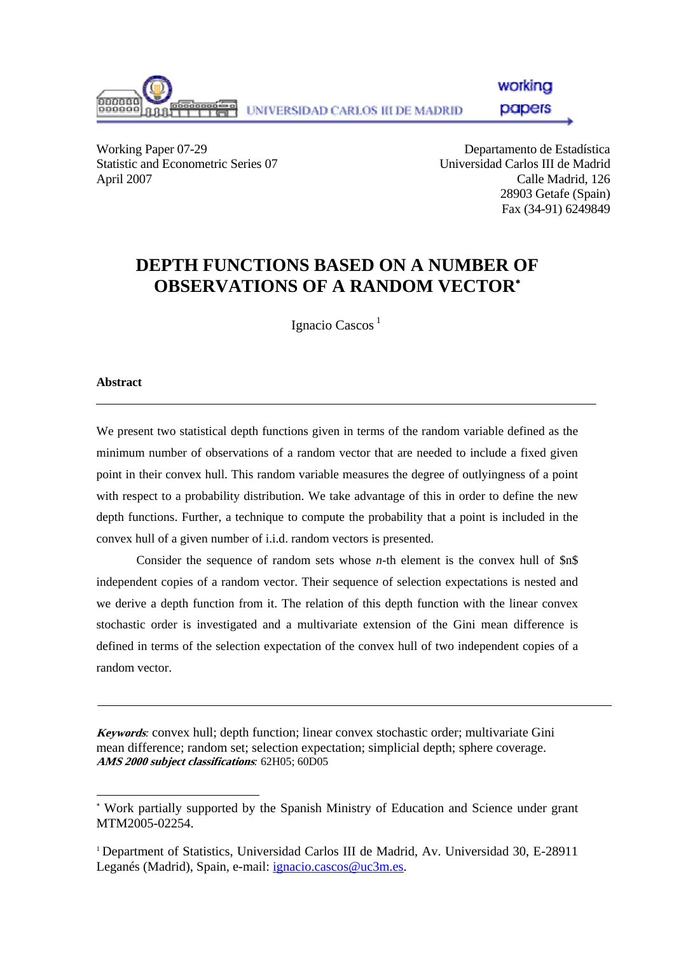

workina

papers

Working Paper 07-29 Departamento de Estadística Statistic and Econometric Series 07 Universidad Carlos III de Madrid April 2007 Calle Madrid, 126

28903 Getafe (Spain) Fax (34-91) 6249849

## **DEPTH FUNCTIONS BASED ON A NUMBER OF OBSERVATIONS OF A RANDOM VECTOR**[∗](#page-0-0)

Ignacio Cascos<sup>1</sup>

#### **Abstract**

l

We present two statistical depth functions given in terms of the random variable defined as the minimum number of observations of a random vector that are needed to include a fixed given point in their convex hull. This random variable measures the degree of outlyingness of a point with respect to a probability distribution. We take advantage of this in order to define the new depth functions. Further, a technique to compute the probability that a point is included in the convex hull of a given number of i.i.d. random vectors is presented.

Consider the sequence of random sets whose *n*-th element is the convex hull of \$n\$ independent copies of a random vector. Their sequence of selection expectations is nested and we derive a depth function from it. The relation of this depth function with the linear convex stochastic order is investigated and a multivariate extension of the Gini mean difference is defined in terms of the selection expectation of the convex hull of two independent copies of a random vector.

**Keywords***:* convex hull; depth function; linear convex stochastic order; multivariate Gini mean difference; random set; selection expectation; simplicial depth; sphere coverage. **AMS 2000 subject classifications***:* 62H05; 60D05

<span id="page-0-0"></span><sup>∗</sup> Work partially supported by the Spanish Ministry of Education and Science under grant MTM2005-02254.

<sup>1</sup> Department of Statistics, Universidad Carlos III de Madrid, Av. Universidad 30, E-28911 Leganés (Madrid), Spain, e-mail: *[ignacio.cascos@uc3m.es](mailto:ignacio.cascos@uc3m.es).*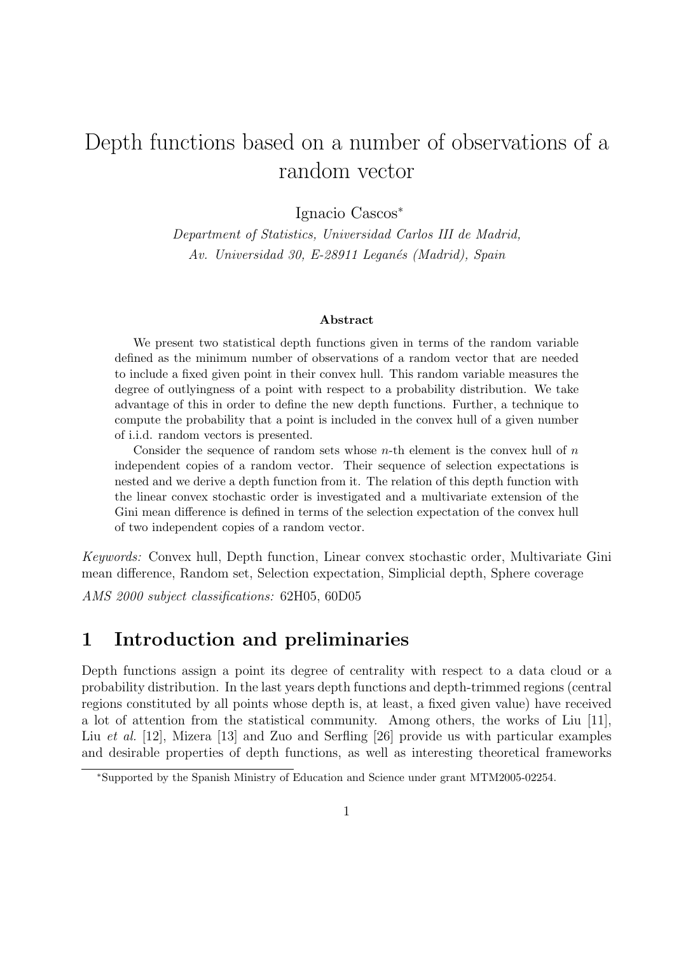# Depth functions based on a number of observations of a random vector

Ignacio Cascos<sup>∗</sup>

Department of Statistics, Universidad Carlos III de Madrid, Av. Universidad 30, E-28911 Leganés (Madrid), Spain

#### Abstract

We present two statistical depth functions given in terms of the random variable defined as the minimum number of observations of a random vector that are needed to include a fixed given point in their convex hull. This random variable measures the degree of outlyingness of a point with respect to a probability distribution. We take advantage of this in order to define the new depth functions. Further, a technique to compute the probability that a point is included in the convex hull of a given number of i.i.d. random vectors is presented.

Consider the sequence of random sets whose  $n$ -th element is the convex hull of  $n$ independent copies of a random vector. Their sequence of selection expectations is nested and we derive a depth function from it. The relation of this depth function with the linear convex stochastic order is investigated and a multivariate extension of the Gini mean difference is defined in terms of the selection expectation of the convex hull of two independent copies of a random vector.

Keywords: Convex hull, Depth function, Linear convex stochastic order, Multivariate Gini mean difference, Random set, Selection expectation, Simplicial depth, Sphere coverage

AMS 2000 subject classifications: 62H05, 60D05

### 1 Introduction and preliminaries

Depth functions assign a point its degree of centrality with respect to a data cloud or a probability distribution. In the last years depth functions and depth-trimmed regions (central regions constituted by all points whose depth is, at least, a fixed given value) have received a lot of attention from the statistical community. Among others, the works of Liu [11], Liu et al. [12], Mizera [13] and Zuo and Serfling [26] provide us with particular examples and desirable properties of depth functions, as well as interesting theoretical frameworks

<sup>∗</sup>Supported by the Spanish Ministry of Education and Science under grant MTM2005-02254.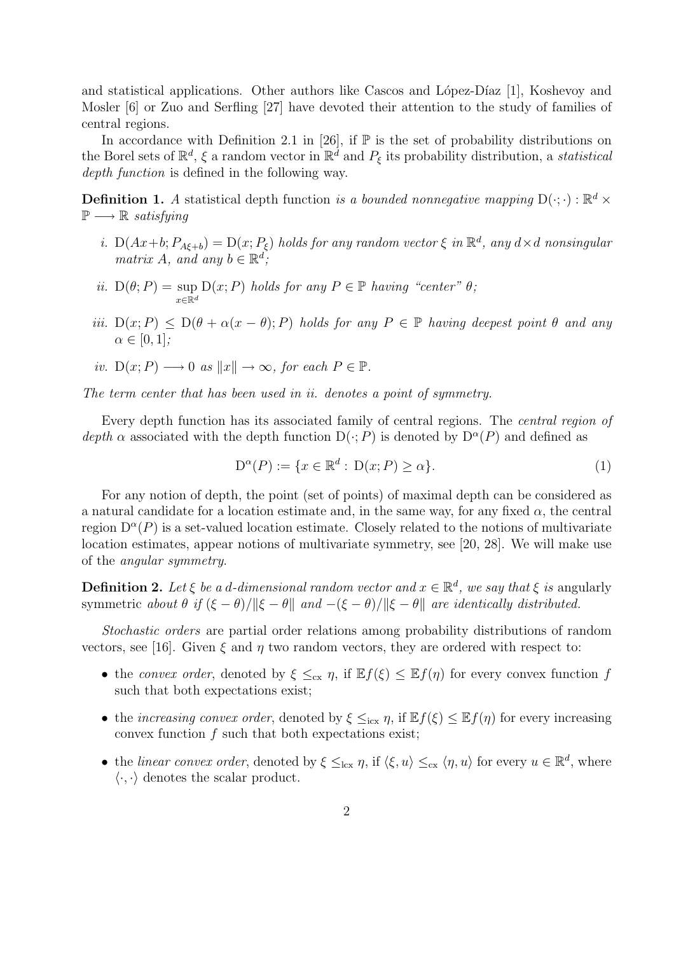and statistical applications. Other authors like Cascos and López-Díaz  $[1]$ , Koshevoy and Mosler [6] or Zuo and Serfling [27] have devoted their attention to the study of families of central regions.

In accordance with Definition 2.1 in [26], if  $\mathbb P$  is the set of probability distributions on the Borel sets of  $\mathbb{R}^d$ ,  $\xi$  a random vector in  $\mathbb{R}^d$  and  $P_{\xi}$  its probability distribution, a *statistical* depth function is defined in the following way.

**Definition 1.** A statistical depth function is a bounded nonnegative mapping  $D(\cdot; \cdot) : \mathbb{R}^d \times$  $\mathbb{P} \longrightarrow \mathbb{R}$  satisfying

- i.  $D(Ax+b; P_{A\xi+b}) = D(x; P_{\xi})$  holds for any random vector  $\xi$  in  $\mathbb{R}^d$ , any  $d \times d$  nonsingular matrix A, and any  $b \in \mathbb{R}^d$ ;
- ii.  $D(\theta; P) = \sup$  $x \in \mathbb{R}^d$  $D(x; P)$  holds for any  $P \in \mathbb{P}$  having "center"  $\theta$ ;
- iii.  $D(x; P) \leq D(\theta + \alpha(x \theta); P)$  holds for any  $P \in \mathbb{P}$  having deepest point  $\theta$  and any  $\alpha \in [0,1]$ ;

*iv.* 
$$
D(x; P) \longrightarrow 0
$$
 as  $||x|| \rightarrow \infty$ , for each  $P \in \mathbb{P}$ .

The term center that has been used in ii. denotes a point of symmetry.

Every depth function has its associated family of central regions. The central region of depth  $\alpha$  associated with the depth function  $D(\cdot; P)$  is denoted by  $D^{\alpha}(P)$  and defined as

$$
D^{\alpha}(P) := \{ x \in \mathbb{R}^d : D(x; P) \ge \alpha \}. \tag{1}
$$

For any notion of depth, the point (set of points) of maximal depth can be considered as a natural candidate for a location estimate and, in the same way, for any fixed  $\alpha$ , the central region  $D^{\alpha}(P)$  is a set-valued location estimate. Closely related to the notions of multivariate location estimates, appear notions of multivariate symmetry, see [20, 28]. We will make use of the angular symmetry.

**Definition 2.** Let  $\xi$  be a d-dimensional random vector and  $x \in \mathbb{R}^d$ , we say that  $\xi$  is angularly symmetric about  $\theta$  if  $(\xi - \theta)/\|\xi - \theta\|$  and  $-(\xi - \theta)/\|\xi - \theta\|$  are identically distributed.

Stochastic orders are partial order relations among probability distributions of random vectors, see [16]. Given  $\xi$  and  $\eta$  two random vectors, they are ordered with respect to:

- the convex order, denoted by  $\xi \leq_{\text{cx}} \eta$ , if  $\mathbb{E} f(\xi) \leq \mathbb{E} f(\eta)$  for every convex function f such that both expectations exist;
- the increasing convex order, denoted by  $\xi \leq_{icx} \eta$ , if  $\mathbb{E} f(\xi) \leq \mathbb{E} f(\eta)$  for every increasing convex function  $f$  such that both expectations exist;
- the linear convex order, denoted by  $\xi \leq_{\text{lcx}} \eta$ , if  $\langle \xi, u \rangle \leq_{\text{cx}} \langle \eta, u \rangle$  for every  $u \in \mathbb{R}^d$ , where  $\langle \cdot, \cdot \rangle$  denotes the scalar product.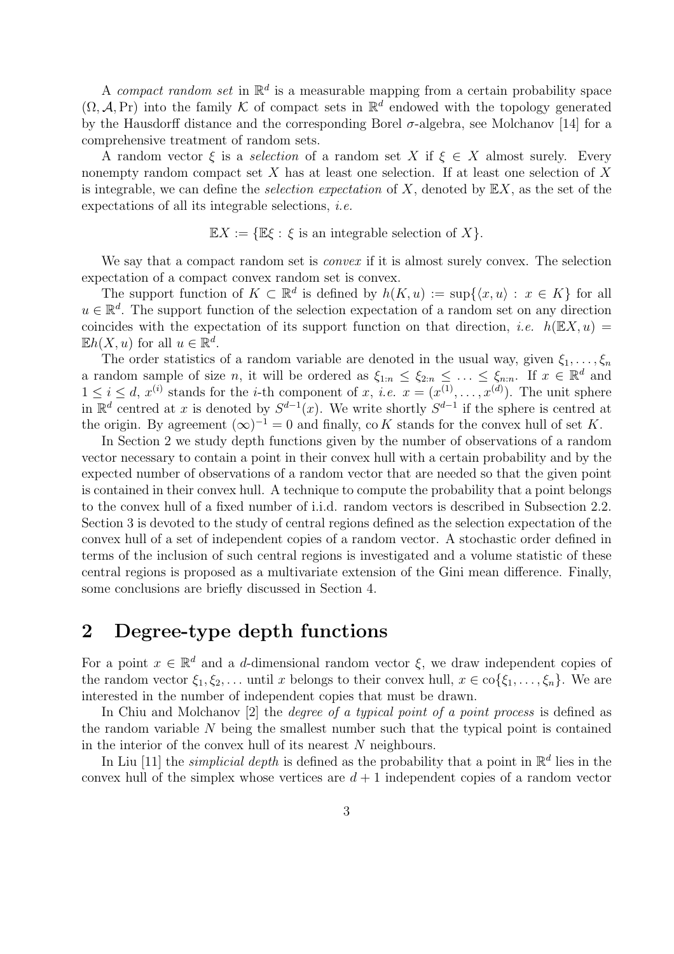A compact random set in  $\mathbb{R}^d$  is a measurable mapping from a certain probability space  $(\Omega, \mathcal{A}, \Pr)$  into the family K of compact sets in  $\mathbb{R}^d$  endowed with the topology generated by the Hausdorff distance and the corresponding Borel  $\sigma$ -algebra, see Molchanov [14] for a comprehensive treatment of random sets.

A random vector  $\xi$  is a selection of a random set X if  $\xi \in X$  almost surely. Every nonempty random compact set  $X$  has at least one selection. If at least one selection of  $X$ is integrable, we can define the *selection expectation* of X, denoted by  $\mathbb{E}X$ , as the set of the expectations of all its integrable selections, i.e.

$$
\mathbb{E}X := \{ \mathbb{E}\xi : \xi \text{ is an integrable selection of } X \}.
$$

We say that a compact random set is *convex* if it is almost surely convex. The selection expectation of a compact convex random set is convex.

The support function of  $K \subset \mathbb{R}^d$  is defined by  $h(K, u) := \sup\{ \langle x, u \rangle : x \in K \}$  for all  $u \in \mathbb{R}^d$ . The support function of the selection expectation of a random set on any direction coincides with the expectation of its support function on that direction, *i.e.*  $h(\mathbb{E}X, u) =$  $\mathbb{E}h(X, u)$  for all  $u \in \mathbb{R}^d$ .

The order statistics of a random variable are denoted in the usual way, given  $\xi_1, \ldots, \xi_n$ a random sample of size n, it will be ordered as  $\xi_{1:n} \leq \xi_{2:n} \leq \ldots \leq \xi_{n:n}$ . If  $x \in \mathbb{R}^d$  and  $1 \leq i \leq d, x^{(i)}$  stands for the *i*-th component of x, *i.e.*  $x = (x^{(1)}, \ldots, x^{(d)})$ . The unit sphere in  $\mathbb{R}^d$  centred at x is denoted by  $S^{d-1}(x)$ . We write shortly  $S^{d-1}$  if the sphere is centred at the origin. By agreement  $(\infty)^{-1} = 0$  and finally, co K stands for the convex hull of set K.

In Section 2 we study depth functions given by the number of observations of a random vector necessary to contain a point in their convex hull with a certain probability and by the expected number of observations of a random vector that are needed so that the given point is contained in their convex hull. A technique to compute the probability that a point belongs to the convex hull of a fixed number of i.i.d. random vectors is described in Subsection 2.2. Section 3 is devoted to the study of central regions defined as the selection expectation of the convex hull of a set of independent copies of a random vector. A stochastic order defined in terms of the inclusion of such central regions is investigated and a volume statistic of these central regions is proposed as a multivariate extension of the Gini mean difference. Finally, some conclusions are briefly discussed in Section 4.

## 2 Degree-type depth functions

For a point  $x \in \mathbb{R}^d$  and a d-dimensional random vector  $\xi$ , we draw independent copies of the random vector  $\xi_1, \xi_2, \ldots$  until x belongs to their convex hull,  $x \in \text{co}\{\xi_1, \ldots, \xi_n\}$ . We are interested in the number of independent copies that must be drawn.

In Chiu and Molchanov [2] the *degree of a typical point of a point process* is defined as the random variable N being the smallest number such that the typical point is contained in the interior of the convex hull of its nearest N neighbours.

In Liu [11] the *simplicial depth* is defined as the probability that a point in  $\mathbb{R}^d$  lies in the convex hull of the simplex whose vertices are  $d+1$  independent copies of a random vector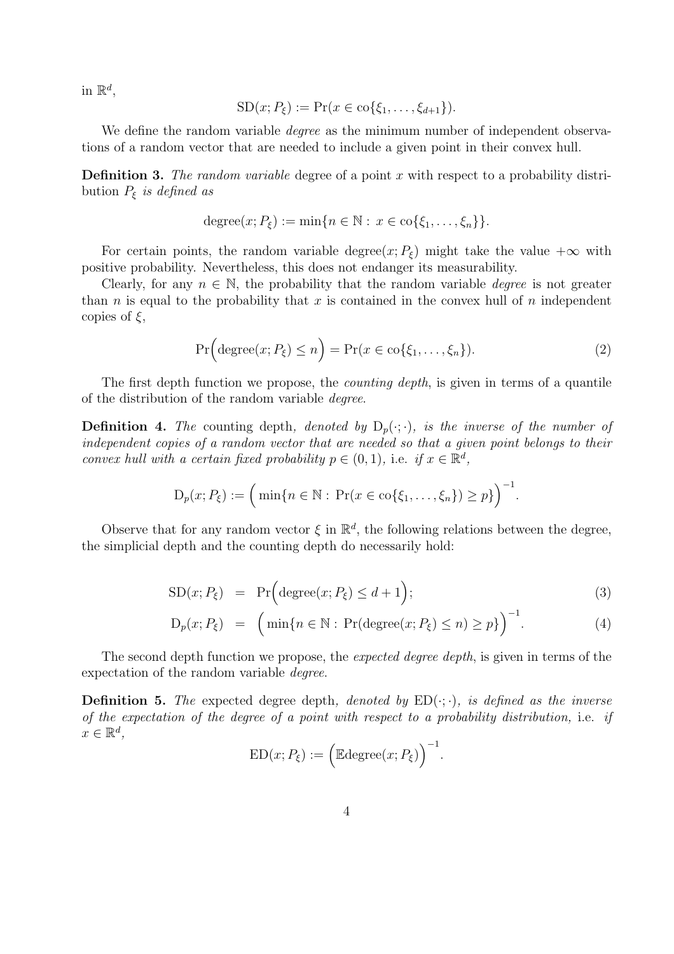in  $\mathbb{R}^d$ ,

$$
SD(x; P_{\xi}) := Pr(x \in \text{co}\{\xi_1, \dots, \xi_{d+1}\}).
$$

We define the random variable *degree* as the minimum number of independent observations of a random vector that are needed to include a given point in their convex hull.

**Definition 3.** The random variable degree of a point x with respect to a probability distribution  $P_{\xi}$  is defined as

$$
degree(x; P_{\xi}) := \min\{n \in \mathbb{N} : x \in \text{co}\{\xi_1, \ldots, \xi_n\}\}.
$$

For certain points, the random variable degree $(x; P_{\xi})$  might take the value  $+\infty$  with positive probability. Nevertheless, this does not endanger its measurability.

Clearly, for any  $n \in \mathbb{N}$ , the probability that the random variable *degree* is not greater than n is equal to the probability that x is contained in the convex hull of n independent copies of  $\xi$ ,

$$
\Pr\Big(\text{degree}(x; P_{\xi}) \le n\Big) = \Pr(x \in \text{co}\{\xi_1, \dots, \xi_n\}).\tag{2}
$$

.

The first depth function we propose, the *counting depth*, is given in terms of a quantile of the distribution of the random variable degree.

**Definition 4.** The counting depth, denoted by  $D_p(\cdot;\cdot)$ , is the inverse of the number of independent copies of a random vector that are needed so that a given point belongs to their convex hull with a certain fixed probability  $p \in (0,1)$ , i.e. if  $x \in \mathbb{R}^d$ ,

$$
D_p(x; P_{\xi}) := \left(\min\{n \in \mathbb{N} : \Pr(x \in \text{co}\{\xi_1, ..., \xi_n\}) \ge p\}\right)^{-1}
$$

Observe that for any random vector  $\xi$  in  $\mathbb{R}^d$ , the following relations between the degree, the simplicial depth and the counting depth do necessarily hold:

$$
SD(x; P_{\xi}) = Pr\Big(\text{degree}(x; P_{\xi}) \le d + 1\Big); \tag{3}
$$

$$
D_p(x; P_{\xi}) = (\min\{n \in \mathbb{N} : \Pr(\text{degree}(x; P_{\xi}) \le n) \ge p\})^{-1}.
$$
 (4)

The second depth function we propose, the expected degree depth, is given in terms of the expectation of the random variable degree.

**Definition 5.** The expected degree depth, denoted by  $ED(\cdot; \cdot)$ , is defined as the inverse of the expectation of the degree of a point with respect to a probability distribution, i.e. if  $x \in \mathbb{R}^d$ ,  $\sqrt{-1}$ 

$$
ED(x; P_{\xi}) := \Big(\mathbb{E} \text{degree}(x; P_{\xi})\Big)^{-1}.
$$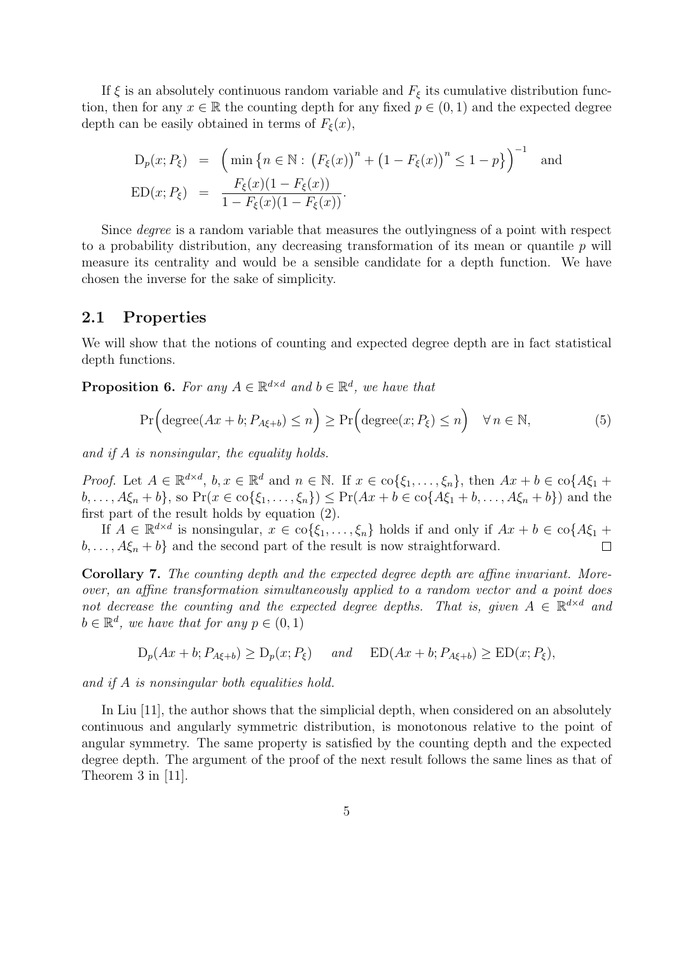If  $\xi$  is an absolutely continuous random variable and  $F_{\xi}$  its cumulative distribution function, then for any  $x \in \mathbb{R}$  the counting depth for any fixed  $p \in (0,1)$  and the expected degree depth can be easily obtained in terms of  $F_{\xi}(x)$ ,

$$
D_p(x; P_{\xi}) = \left(\min\left\{n \in \mathbb{N}: \left(F_{\xi}(x)\right)^n + \left(1 - F_{\xi}(x)\right)^n \le 1 - p\right\}\right)^{-1} \text{ and}
$$
  
\n
$$
ED(x; P_{\xi}) = \frac{F_{\xi}(x)(1 - F_{\xi}(x))}{1 - F_{\xi}(x)(1 - F_{\xi}(x))}.
$$

Since degree is a random variable that measures the outlyingness of a point with respect to a probability distribution, any decreasing transformation of its mean or quantile  $p$  will measure its centrality and would be a sensible candidate for a depth function. We have chosen the inverse for the sake of simplicity.

### 2.1 Properties

We will show that the notions of counting and expected degree depth are in fact statistical depth functions.

**Proposition 6.** For any  $A \in \mathbb{R}^{d \times d}$  and  $b \in \mathbb{R}^d$ , we have that

$$
\Pr\Big(\text{degree}(Ax+b; P_{A\xi+b}) \le n\Big) \ge \Pr\Big(\text{degree}(x; P_{\xi}) \le n\Big) \quad \forall n \in \mathbb{N},\tag{5}
$$

and if A is nonsingular, the equality holds.

*Proof.* Let  $A \in \mathbb{R}^{d \times d}$ ,  $b, x \in \mathbb{R}^d$  and  $n \in \mathbb{N}$ . If  $x \in \text{co}\{\xi_1, \ldots, \xi_n\}$ , then  $Ax + b \in \text{co}\{A\xi_1 +$  $b, \ldots, A\xi_n + b\}$ , so  $Pr(x \in \text{co}\{\xi_1, \ldots, \xi_n\}) \leq Pr(Ax + b \in \text{co}\{A\xi_1 + b, \ldots, A\xi_n + b\})$  and the first part of the result holds by equation (2).

If  $A \in \mathbb{R}^{d \times d}$  is nonsingular,  $x \in \text{co}\{\xi_1, \ldots, \xi_n\}$  holds if and only if  $Ax + b \in \text{co}\{A\xi_1 +$  $b, \ldots, A\xi_n + b$  and the second part of the result is now straightforward.  $\Box$ 

Corollary 7. The counting depth and the expected degree depth are affine invariant. Moreover, an affine transformation simultaneously applied to a random vector and a point does not decrease the counting and the expected degree depths. That is, given  $A \in \mathbb{R}^{d \times d}$  and  $b \in \mathbb{R}^d$ , we have that for any  $p \in (0,1)$ 

$$
D_p(Ax + b; P_{A\xi+b}) \ge D_p(x; P_{\xi})
$$
 and  $ED(Ax + b; P_{A\xi+b}) \ge ED(x; P_{\xi}),$ 

and if A is nonsingular both equalities hold.

In Liu [11], the author shows that the simplicial depth, when considered on an absolutely continuous and angularly symmetric distribution, is monotonous relative to the point of angular symmetry. The same property is satisfied by the counting depth and the expected degree depth. The argument of the proof of the next result follows the same lines as that of Theorem 3 in [11].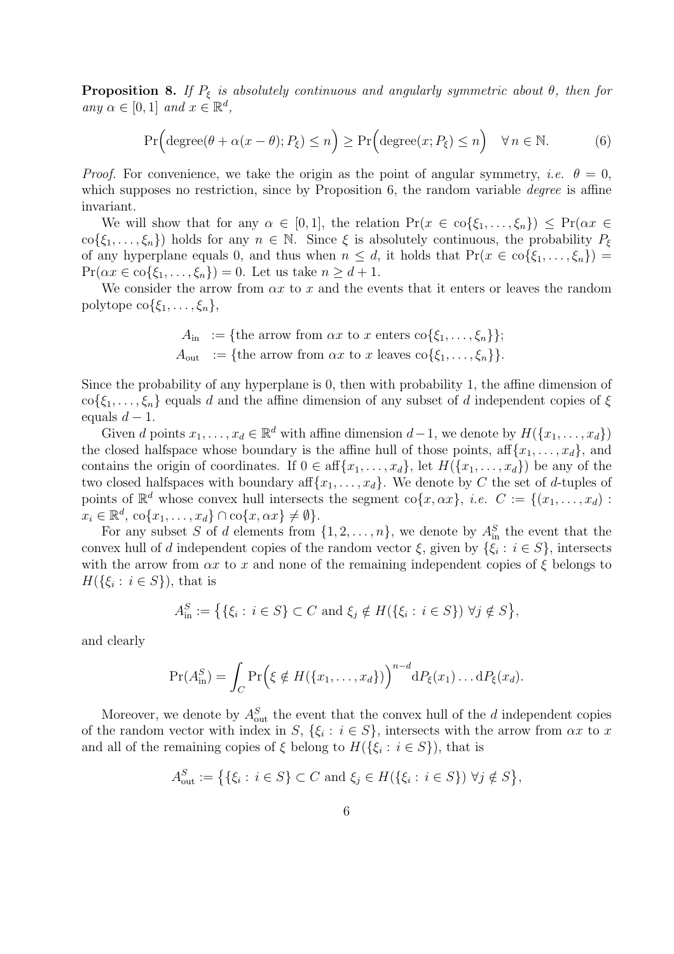**Proposition 8.** If  $P_{\xi}$  is absolutely continuous and angularly symmetric about  $\theta$ , then for any  $\alpha \in [0,1]$  and  $x \in \mathbb{R}^d$ ,

$$
\Pr\Big(\text{degree}(\theta + \alpha(x - \theta); P_{\xi}) \le n\Big) \ge \Pr\Big(\text{degree}(x; P_{\xi}) \le n\Big) \quad \forall n \in \mathbb{N}.\tag{6}
$$

*Proof.* For convenience, we take the origin as the point of angular symmetry, *i.e.*  $\theta = 0$ , which supposes no restriction, since by Proposition 6, the random variable *degree* is affine invariant.

We will show that for any  $\alpha \in [0,1]$ , the relation  $Pr(x \in \text{co}\{\xi_1,\ldots,\xi_n\}) \leq Pr(\alpha x \in$  $\text{co}\{\xi_1,\ldots,\xi_n\}\)$  holds for any  $n \in \mathbb{N}$ . Since  $\xi$  is absolutely continuous, the probability  $P_{\xi}$ of any hyperplane equals 0, and thus when  $n \leq d$ , it holds that  $Pr(x \in \text{co}\{\xi_1, \ldots, \xi_n\})$  $Pr(\alpha x \in \text{co}\{\xi_1,\ldots,\xi_n\})=0.$  Let us take  $n \geq d+1$ .

We consider the arrow from  $\alpha x$  to x and the events that it enters or leaves the random polytope  $\text{co}\{\xi_1,\ldots,\xi_n\},\$ 

$$
A_{\text{in}} := \{\text{the arrow from } \alpha x \text{ to } x \text{ enters } \text{co}\{\xi_1, \dots, \xi_n\}\};
$$
  

$$
A_{\text{out}} := \{\text{the arrow from } \alpha x \text{ to } x \text{ leaves } \text{co}\{\xi_1, \dots, \xi_n\}\}.
$$

Since the probability of any hyperplane is 0, then with probability 1, the affine dimension of  $\text{co}\{\xi_1,\ldots,\xi_n\}$  equals d and the affine dimension of any subset of d independent copies of  $\xi$ equals  $d-1$ .

Given d points  $x_1, \ldots, x_d \in \mathbb{R}^d$  with affine dimension  $d-1$ , we denote by  $H(\lbrace x_1, \ldots, x_d \rbrace)$ the closed halfspace whose boundary is the affine hull of those points, aff $\{x_1, \ldots, x_d\}$ , and contains the origin of coordinates. If  $0 \in \text{aff}\{x_1, \ldots, x_d\}$ , let  $H(\{x_1, \ldots, x_d\})$  be any of the two closed halfspaces with boundary aff ${x_1, \ldots, x_d}$ . We denote by C the set of d-tuples of points of  $\mathbb{R}^d$  whose convex hull intersects the segment co $\{x, \alpha x\}$ , *i.e.*  $C := \{(x_1, \ldots, x_d)$ :  $x_i \in \mathbb{R}^d$ ,  $\text{co}\{x_1, \ldots, x_d\} \cap \text{co}\{x, \alpha x\} \neq \emptyset\}.$ 

For any subset S of d elements from  $\{1, 2, \ldots, n\}$ , we denote by  $A_{\text{in}}^S$  the event that the convex hull of d independent copies of the random vector  $\xi$ , given by  $\{\xi_i : i \in S\}$ , intersects with the arrow from  $\alpha x$  to x and none of the remaining independent copies of  $\xi$  belongs to  $H(\{\xi_i : i \in S\})$ , that is

$$
A_{\text{in}}^{S} := \big\{ \{\xi_i : i \in S\} \subset C \text{ and } \xi_j \notin H(\{\xi_i : i \in S\}) \,\,\forall j \notin S \big\},\
$$

and clearly

$$
\Pr(A_{\text{in}}^S) = \int_C \Pr\Big(\xi \notin H(\{x_1,\ldots,x_d\})\Big)^{n-d} dP_{\xi}(x_1)\ldots dP_{\xi}(x_d).
$$

Moreover, we denote by  $A_{\text{out}}^S$  the event that the convex hull of the d independent copies of the random vector with index in S,  $\{\xi_i : i \in S\}$ , intersects with the arrow from  $\alpha x$  to x and all of the remaining copies of  $\xi$  belong to  $H(\{\xi_i : i \in S\})$ , that is

$$
A_{\text{out}}^S := \big\{ \{\xi_i : i \in S\} \subset C \text{ and } \xi_j \in H(\{\xi_i : i \in S\}) \,\,\forall j \notin S \big\},\
$$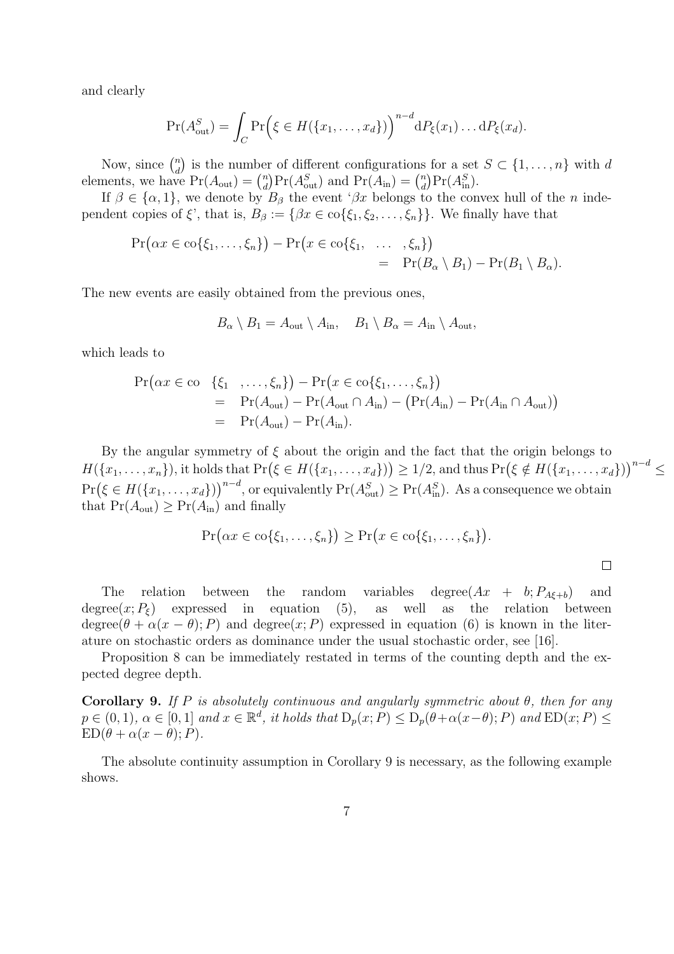and clearly

$$
\Pr(A_{\text{out}}^S) = \int_C \Pr\Big(\xi \in H(\{x_1,\ldots,x_d\})\Big)^{n-d} dP_{\xi}(x_1)\ldots dP_{\xi}(x_d).
$$

Now, since  $\binom{n}{d}$ d ¢ is the number of different configurations for a set  $S \subset \{1, \ldots, n\}$  with d Now, since  $\binom{d}{d}$  is the number<br>elements, we have  $Pr(A_{out}) = \binom{n}{d}$ er or different configurations<br>  $\binom{n}{d} \Pr(A_{\text{out}}^S)$  and  $\Pr(A_{\text{in}}) = \binom{n}{d}$  $\binom{n}{d} \Pr(A_{\text{in}}^S)$ .

If  $\beta \in {\alpha, 1}$ , we denote by  $B_{\beta}$  the event ' $\beta x$  belongs to the convex hull of the n independent copies of  $\xi'$ , that is,  $B_\beta := \{\beta x \in \text{co}\{\xi_1, \xi_2, \dots, \xi_n\}\}\.$  We finally have that

$$
\Pr(\alpha x \in \text{co}\{\xi_1,\ldots,\xi_n\}) - \Pr(x \in \text{co}\{\xi_1,\ldots,\xi_n\})
$$
  
= 
$$
\Pr(B_\alpha \setminus B_1) - \Pr(B_1 \setminus B_\alpha).
$$

The new events are easily obtained from the previous ones,

$$
B_{\alpha} \setminus B_1 = A_{\text{out}} \setminus A_{\text{in}}, \quad B_1 \setminus B_{\alpha} = A_{\text{in}} \setminus A_{\text{out}},
$$

which leads to

$$
Pr(\alpha x \in \text{co} \{\xi_1, \dots, \xi_n\}) - Pr(x \in \text{co}\{\xi_1, \dots, \xi_n\})
$$
  
= Pr(A<sub>out</sub>) - Pr(A<sub>out</sub> ∩ A<sub>in</sub>) - (Pr(A<sub>in</sub>) - Pr(A<sub>in</sub> ∩ A<sub>out</sub>))  
= Pr(A<sub>out</sub>) - Pr(A<sub>in</sub>).

By the angular symmetry of  $\xi$  about the origin and the fact that the origin belongs to By the angular symmetry or  $\zeta$  about the origin  $\zeta$ <br> $H(\lbrace x_1,\ldots,x_n \rbrace)$ , it holds that  $\Pr(\xi \in H(\lbrace x_1,\ldots,x_d \rbrace))$ that the origin belongs to<br>  $\geq 1/2$ , and thus  $Pr(\xi \notin H(\lbrace x_1, \ldots, x_d \rbrace))$  $x^{n-d} \leq$  $Pr(\xi \in H(\lbrace x_1,\ldots,x_d \rbrace))^{n-d}$ , or equivalently  $Pr(A_{out}^S) \geq Pr(A_{in}^S)$ . As a consequence we obtain  $\sqrt{n-d}$ that  $Pr(A_{out}) \geq Pr(A_{in})$  and finally

$$
\Pr(\alpha x \in \text{co}\{\xi_1,\ldots,\xi_n\}) \geq \Pr(x \in \text{co}\{\xi_1,\ldots,\xi_n\}).
$$

 $\Box$ 

The relation between the random variables degree $(Ax + b; P_{A\xi+b})$  and degree $(x; P_{\xi})$  expressed in equation (5), as well as the relation between degree( $\theta + \alpha(x - \theta)$ ; P) and degree(x; P) expressed in equation (6) is known in the literature on stochastic orders as dominance under the usual stochastic order, see [16].

Proposition 8 can be immediately restated in terms of the counting depth and the expected degree depth.

Corollary 9. If P is absolutely continuous and angularly symmetric about  $\theta$ , then for any  $p \in (0,1)$ ,  $\alpha \in [0,1]$  and  $x \in \mathbb{R}^d$ , it holds that  $D_p(x;P) \le D_p(\theta+\alpha(x-\theta);P)$  and  $ED(x;P) \le$  $ED(\theta + \alpha(x - \theta); P).$ 

The absolute continuity assumption in Corollary 9 is necessary, as the following example shows.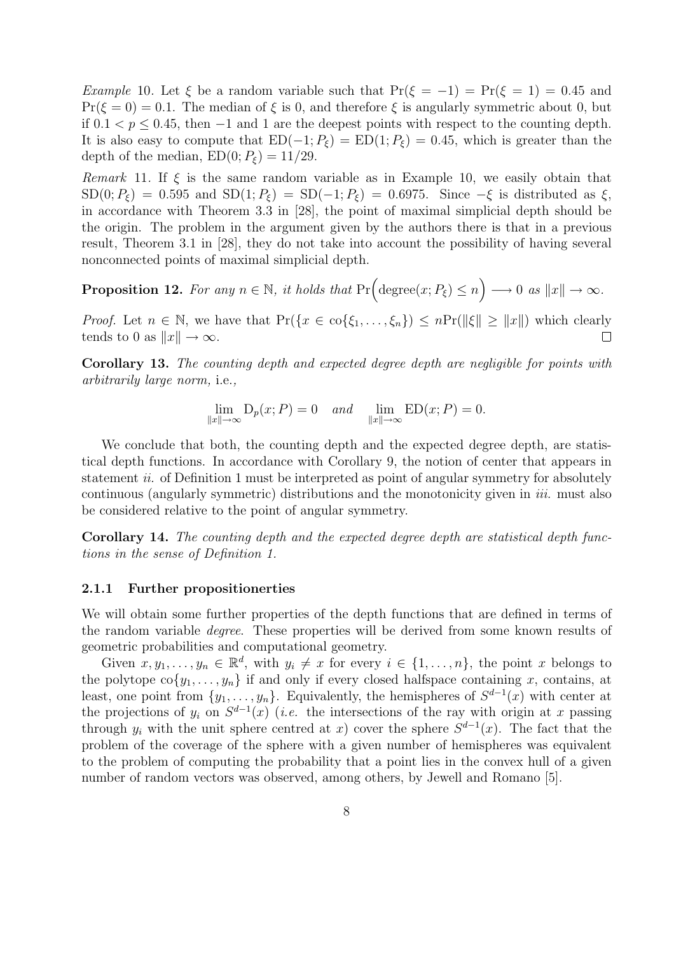Example 10. Let  $\xi$  be a random variable such that  $Pr(\xi = -1) = Pr(\xi = 1) = 0.45$  and  $Pr(\xi = 0) = 0.1$ . The median of  $\xi$  is 0, and therefore  $\xi$  is angularly symmetric about 0, but if  $0.1 < p \leq 0.45$ , then  $-1$  and 1 are the deepest points with respect to the counting depth. It is also easy to compute that  $ED(-1; P_{\xi}) = ED(1; P_{\xi}) = 0.45$ , which is greater than the depth of the median,  $ED(0; P_{\xi}) = 11/29$ .

Remark 11. If  $\xi$  is the same random variable as in Example 10, we easily obtain that  $SD(0; P_{\xi}) = 0.595$  and  $SD(1; P_{\xi}) = SD(-1; P_{\xi}) = 0.6975$ . Since  $-\xi$  is distributed as  $\xi$ , in accordance with Theorem 3.3 in [28], the point of maximal simplicial depth should be the origin. The problem in the argument given by the authors there is that in a previous result, Theorem 3.1 in [28], they do not take into account the possibility of having several nonconnected points of maximal simplicial depth.

**Proposition 12.** For any  $n \in \mathbb{N}$ , it holds that  $Pr(\text{degree}(x; P_{\xi}) \leq n)$ ´  $\longrightarrow 0 \text{ as } ||x|| \rightarrow \infty.$ 

*Proof.* Let  $n \in \mathbb{N}$ , we have that  $Pr({x \in \text{co}\{\xi_1,\ldots,\xi_n\}}) \leq nPr(||\xi|| \geq ||x||)$  which clearly tends to 0 as  $||x|| \to \infty$ .  $\Box$ 

Corollary 13. The counting depth and expected degree depth are negligible for points with arbitrarily large norm, i.e.,

$$
\lim_{\|x\| \to \infty} D_p(x; P) = 0 \quad and \quad \lim_{\|x\| \to \infty} ED(x; P) = 0.
$$

We conclude that both, the counting depth and the expected degree depth, are statistical depth functions. In accordance with Corollary 9, the notion of center that appears in statement *ii.* of Definition 1 must be interpreted as point of angular symmetry for absolutely continuous (angularly symmetric) distributions and the monotonicity given in *iii*. must also be considered relative to the point of angular symmetry.

Corollary 14. The counting depth and the expected degree depth are statistical depth functions in the sense of Definition 1.

#### 2.1.1 Further propositionerties

We will obtain some further properties of the depth functions that are defined in terms of the random variable degree. These properties will be derived from some known results of geometric probabilities and computational geometry.

Given  $x, y_1, \ldots, y_n \in \mathbb{R}^d$ , with  $y_i \neq x$  for every  $i \in \{1, \ldots, n\}$ , the point x belongs to the polytope  $\text{co}\{y_1, \ldots, y_n\}$  if and only if every closed halfspace containing x, contains, at least, one point from  $\{y_1, \ldots, y_n\}$ . Equivalently, the hemispheres of  $S^{d-1}(x)$  with center at the projections of  $y_i$  on  $S^{d-1}(x)$  (*i.e.* the intersections of the ray with origin at x passing through  $y_i$  with the unit sphere centred at x) cover the sphere  $S^{d-1}(x)$ . The fact that the problem of the coverage of the sphere with a given number of hemispheres was equivalent to the problem of computing the probability that a point lies in the convex hull of a given number of random vectors was observed, among others, by Jewell and Romano [5].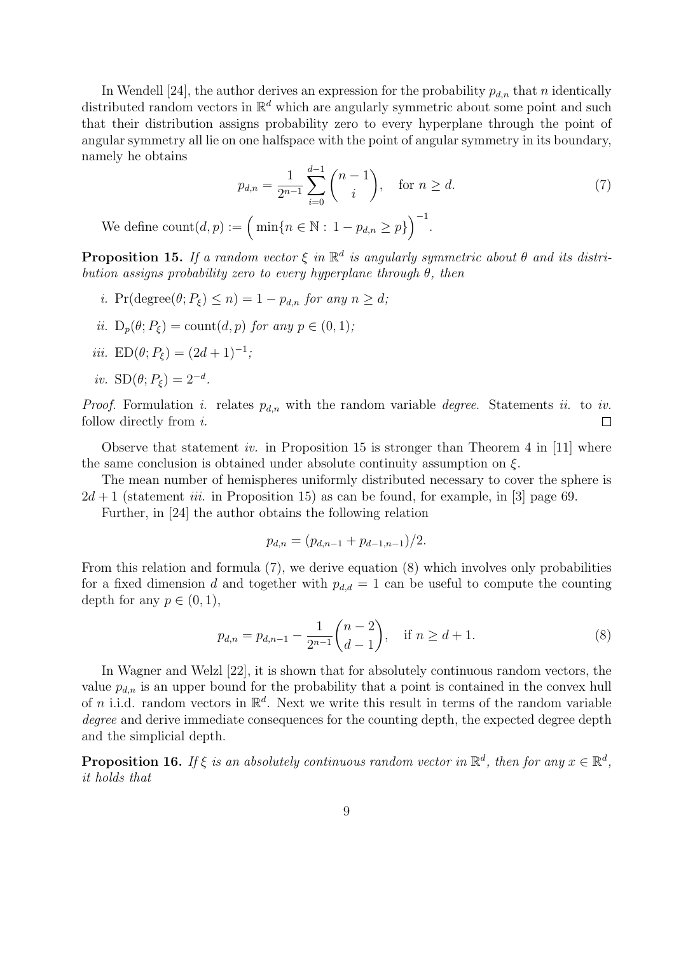In Wendell [24], the author derives an expression for the probability  $p_{d,n}$  that n identically distributed random vectors in  $\mathbb{R}^d$  which are angularly symmetric about some point and such that their distribution assigns probability zero to every hyperplane through the point of angular symmetry all lie on one halfspace with the point of angular symmetry in its boundary, namely he obtains

$$
p_{d,n} = \frac{1}{2^{n-1}} \sum_{i=0}^{d-1} {n-1 \choose i}, \text{ for } n \ge d.
$$
 (7)

We define  $\text{count}(d, p) := \Big(\min\{n \in \mathbb{N} : 1 - p_{d,n} \geq p\}\Big)$ .

**Proposition 15.** If a random vector  $\xi$  in  $\mathbb{R}^d$  is angularly symmetric about  $\theta$  and its distribution assigns probability zero to every hyperplane through  $\theta$ , then

- i. Pr(degree $(\theta; P_{\xi}) \leq n$ ) = 1  $p_{d,n}$  for any  $n \geq d$ ;
- ii.  $D_p(\theta; P_{\xi}) = \text{count}(d, p)$  for any  $p \in (0, 1)$ ;
- iii.  $ED(\theta; P_{\xi}) = (2d+1)^{-1};$

$$
iv. \ \mathrm{SD}(\theta; P_{\xi}) = 2^{-d}.
$$

*Proof.* Formulation *i*. relates  $p_{d,n}$  with the random variable *degree*. Statements *ii*. to *iv.* follow directly from i.  $\Box$ 

Observe that statement *iv.* in Proposition 15 is stronger than Theorem 4 in [11] where the same conclusion is obtained under absolute continuity assumption on  $\xi$ .

The mean number of hemispheres uniformly distributed necessary to cover the sphere is  $2d+1$  (statement *iii.* in Proposition 15) as can be found, for example, in [3] page 69.

Further, in [24] the author obtains the following relation

$$
p_{d,n} = (p_{d,n-1} + p_{d-1,n-1})/2.
$$

From this relation and formula (7), we derive equation (8) which involves only probabilities for a fixed dimension d and together with  $p_{d,d} = 1$  can be useful to compute the counting depth for any  $p \in (0,1)$ ,

$$
p_{d,n} = p_{d,n-1} - \frac{1}{2^{n-1}} \binom{n-2}{d-1}, \quad \text{if } n \ge d+1. \tag{8}
$$

In Wagner and Welzl [22], it is shown that for absolutely continuous random vectors, the value  $p_{d,n}$  is an upper bound for the probability that a point is contained in the convex hull of *n* i.i.d. random vectors in  $\mathbb{R}^d$ . Next we write this result in terms of the random variable degree and derive immediate consequences for the counting depth, the expected degree depth and the simplicial depth.

**Proposition 16.** If  $\xi$  is an absolutely continuous random vector in  $\mathbb{R}^d$ , then for any  $x \in \mathbb{R}^d$ , it holds that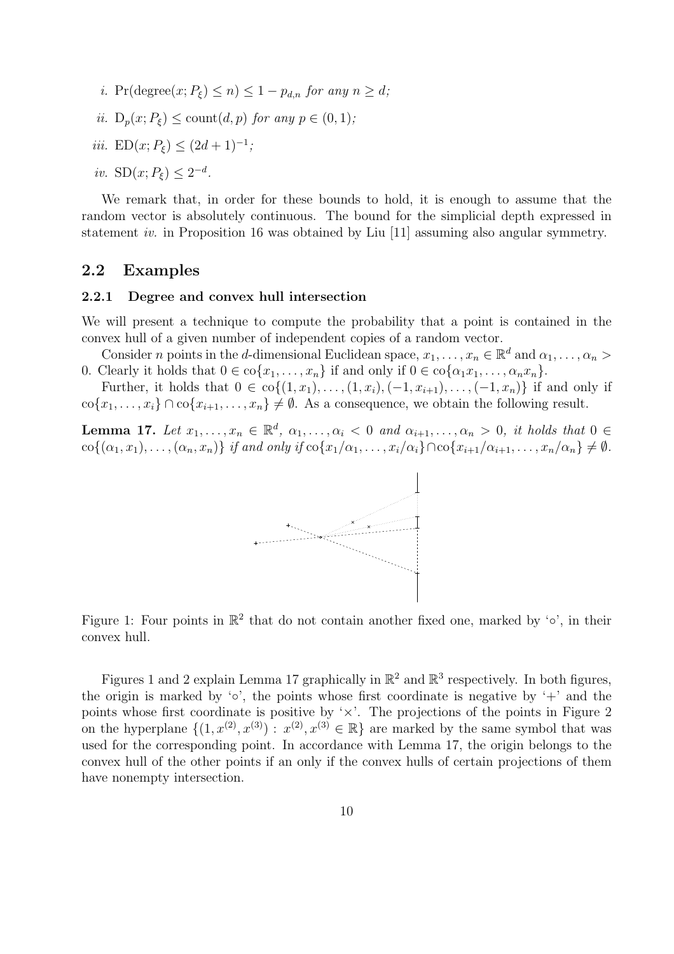- i. Pr(degree $(x; P_{\xi}) \leq n \leq 1 p_{d,n}$  for any  $n \geq d$ ;
- ii.  $D_n(x; P_{\xi}) \leq \text{count}(d, p)$  for any  $p \in (0, 1)$ ;
- iii.  $ED(x; P_{\xi}) \leq (2d+1)^{-1};$
- iv.  $SD(x; P_{\xi}) \leq 2^{-d}$ .

We remark that, in order for these bounds to hold, it is enough to assume that the random vector is absolutely continuous. The bound for the simplicial depth expressed in statement iv. in Proposition 16 was obtained by Liu [11] assuming also angular symmetry.

### 2.2 Examples

#### 2.2.1 Degree and convex hull intersection

We will present a technique to compute the probability that a point is contained in the convex hull of a given number of independent copies of a random vector.

Consider *n* points in the *d*-dimensional Euclidean space,  $x_1, \ldots, x_n \in \mathbb{R}^d$  and  $\alpha_1, \ldots, \alpha_n >$ 0. Clearly it holds that  $0 \in \text{co}\{x_1, \ldots, x_n\}$  if and only if  $0 \in \text{co}\{\alpha_1x_1, \ldots, \alpha_nx_n\}$ .

Further, it holds that  $0 \in \text{co}\{(1, x_1), \ldots, (1, x_i), (-1, x_{i+1}), \ldots, (-1, x_n)\}$  if and only if  $\text{co}\{x_1,\ldots,x_i\} \cap \text{co}\{x_{i+1},\ldots,x_n\} \neq \emptyset$ . As a consequence, we obtain the following result.

**Lemma 17.** Let  $x_1, \ldots, x_n \in \mathbb{R}^d$ ,  $\alpha_1, \ldots, \alpha_i < 0$  and  $\alpha_{i+1}, \ldots, \alpha_n > 0$ , it holds that  $0 \in$  $\{\cos(\alpha_1, x_1), \ldots, (\alpha_n, x_n)\}\$ if and only if  $\cos\{x_1/\alpha_1, \ldots, x_i/\alpha_i\} \cap \cos\{x_{i+1}/\alpha_{i+1}, \ldots, x_n/\alpha_n\} \neq \emptyset$ .



Figure 1: Four points in  $\mathbb{R}^2$  that do not contain another fixed one, marked by ' $\circ$ ', in their convex hull.

Figures 1 and 2 explain Lemma 17 graphically in  $\mathbb{R}^2$  and  $\mathbb{R}^3$  respectively. In both figures, the origin is marked by  $\circ$ , the points whose first coordinate is negative by  $\circ$ . and the points whose first coordinate is positive by  $\forall x$ . The projections of the points in Figure 2 on the hyperplane  $\{(1, x^{(2)}, x^{(3)}) : x^{(2)}, x^{(3)} \in \mathbb{R}\}\)$  are marked by the same symbol that was used for the corresponding point. In accordance with Lemma 17, the origin belongs to the convex hull of the other points if an only if the convex hulls of certain projections of them have nonempty intersection.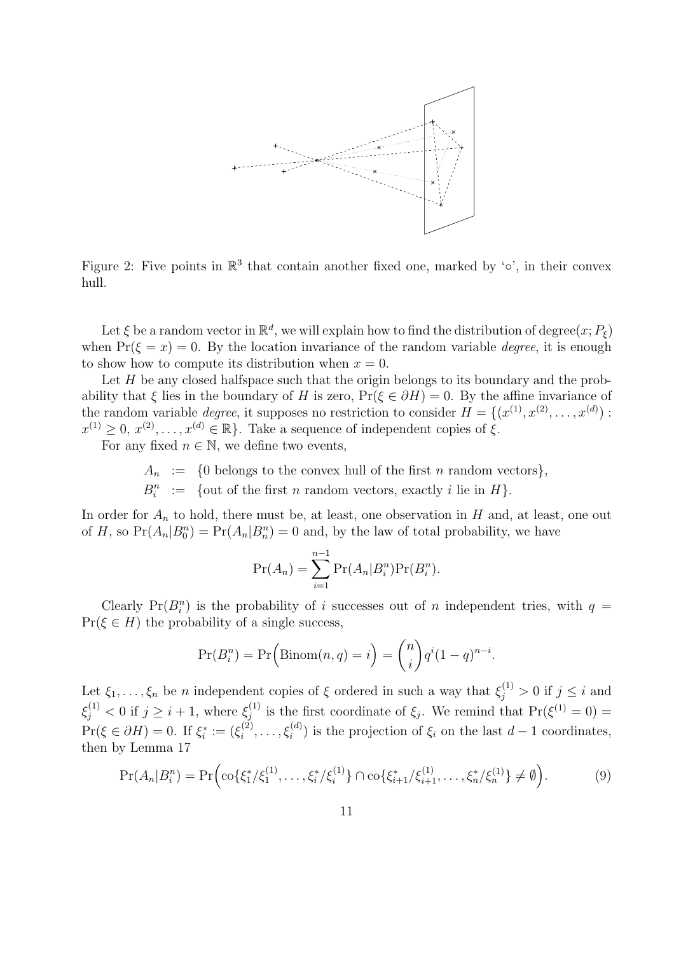

Figure 2: Five points in  $\mathbb{R}^3$  that contain another fixed one, marked by ' $\circ$ ', in their convex hull.

Let  $\xi$  be a random vector in  $\mathbb{R}^d$ , we will explain how to find the distribution of degree $(x; P_{\xi})$ when  $Pr(\xi = x) = 0$ . By the location invariance of the random variable *degree*, it is enough to show how to compute its distribution when  $x = 0$ .

Let  $H$  be any closed halfspace such that the origin belongs to its boundary and the probability that  $\xi$  lies in the boundary of H is zero,  $Pr(\xi \in \partial H) = 0$ . By the affine invariance of the random variable *degree*, it supposes no restriction to consider  $H = \{(x^{(1)}, x^{(2)}, \ldots, x^{(d)})\}$ :  $x^{(1)} \geq 0, x^{(2)}, \ldots, x^{(d)} \in \mathbb{R}$ . Take a sequence of independent copies of  $\xi$ .

For any fixed  $n \in \mathbb{N}$ , we define two events,

 $A_n$  := {0 belongs to the convex hull of the first *n* random vectors},

 $B_i^n$  := {out of the first *n* random vectors, exactly *i* lie in *H*}.

In order for  $A_n$  to hold, there must be, at least, one observation in H and, at least, one out of H, so  $Pr(A_n|B_0^n) = Pr(A_n|B_n^n) = 0$  and, by the law of total probability, we have

$$
Pr(A_n) = \sum_{i=1}^{n-1} Pr(A_n | B_i^n) Pr(B_i^n).
$$

Clearly Pr( $B_i^n$ ) is the probability of i successes out of n independent tries, with  $q =$  $Pr(\xi \in H)$  the probability of a single success,

$$
Pr(B_i^n) = Pr\Big(\text{Binom}(n, q) = i\Big) = {n \choose i} q^i (1-q)^{n-i}.
$$

Let  $\xi_1,\ldots,\xi_n$  be n independent copies of  $\xi$  ordered in such a way that  $\xi_j^{(1)} > 0$  if  $j \leq i$  and  $\xi_j^{(1)} < 0$  if  $j \geq i + 1$ , where  $\xi_j^{(1)}$ <sup>(1)</sup> is the first coordinate of  $\xi_j$ . We remind that  $Pr(\xi^{(1)}=0)$  =  $Pr(\xi \in \partial H) = 0.$  If  $\xi_i^* := (\xi_i^{(2)}$  $\mathcal{L}_{i}^{(2)}, \ldots, \mathcal{L}_{i}^{(d)}$  is the projection of  $\xi_{i}$  on the last  $d-1$  coordinates, then by Lemma 17

$$
\Pr(A_n|B_i^n) = \Pr\Big(\text{co}\{\xi_1^*/\xi_1^{(1)},\ldots,\xi_i^*/\xi_i^{(1)}\} \cap \text{co}\{\xi_{i+1}^*/\xi_{i+1}^{(1)},\ldots,\xi_n^*/\xi_n^{(1)}\} \neq \emptyset\Big).
$$
(9)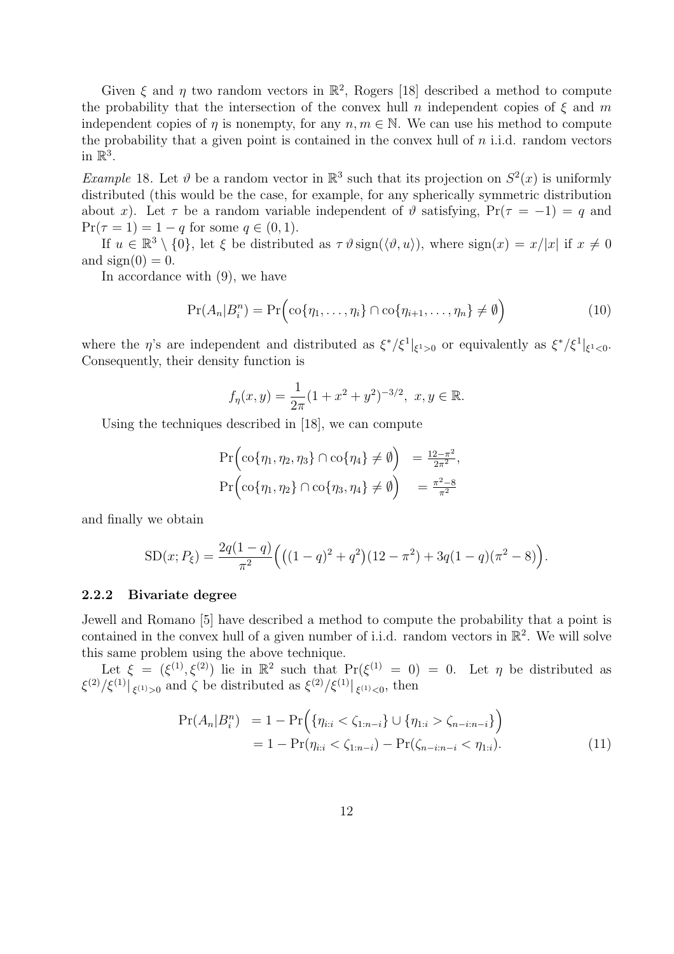Given  $\xi$  and  $\eta$  two random vectors in  $\mathbb{R}^2$ , Rogers [18] described a method to compute the probability that the intersection of the convex hull n independent copies of  $\xi$  and m independent copies of  $\eta$  is nonempty, for any  $n, m \in \mathbb{N}$ . We can use his method to compute the probability that a given point is contained in the convex hull of  $n$  i.i.d. random vectors in  $\mathbb{R}^3$ .

*Example* 18. Let  $\vartheta$  be a random vector in  $\mathbb{R}^3$  such that its projection on  $S^2(x)$  is uniformly distributed (this would be the case, for example, for any spherically symmetric distribution about x). Let  $\tau$  be a random variable independent of  $\vartheta$  satisfying,  $Pr(\tau = -1) = q$  and  $Pr(\tau = 1) = 1 - q$  for some  $q \in (0, 1)$ .

If  $u \in \mathbb{R}^3 \setminus \{0\}$ , let  $\xi$  be distributed as  $\tau \vartheta \operatorname{sign}(\langle \vartheta, u \rangle)$ , where  $\operatorname{sign}(x) = x/|x|$  if  $x \neq 0$ and  $sign(0) = 0$ .

In accordance with (9), we have

$$
Pr(A_n|B_i^n) = Pr\Big(\text{co}\{\eta_1,\ldots,\eta_i\} \cap \text{co}\{\eta_{i+1},\ldots,\eta_n\} \neq \emptyset\Big) \tag{10}
$$

where the  $\eta$ 's are independent and distributed as  $\xi^*/\xi^1|_{\xi^1>0}$  or equivalently as  $\xi^*/\xi^1|_{\xi^1<0}$ . Consequently, their density function is

$$
f_{\eta}(x, y) = \frac{1}{2\pi} (1 + x^2 + y^2)^{-3/2}, \ x, y \in \mathbb{R}.
$$

Using the techniques described in [18], we can compute

$$
\Pr\left(\text{co}\{\eta_1, \eta_2, \eta_3\} \cap \text{co}\{\eta_4\} \neq \emptyset\right) = \frac{12 - \pi^2}{2\pi^2},
$$
  

$$
\Pr\left(\text{co}\{\eta_1, \eta_2\} \cap \text{co}\{\eta_3, \eta_4\} \neq \emptyset\right) = \frac{\pi^2 - 8}{\pi^2}
$$

and finally we obtain

SD(x; P<sub>ξ</sub>) = 
$$
\frac{2q(1-q)}{\pi^2} \Big( \big( (1-q)^2 + q^2 \big) (12 - \pi^2) + 3q(1-q)(\pi^2 - 8) \Big).
$$

#### 2.2.2 Bivariate degree

Jewell and Romano [5] have described a method to compute the probability that a point is contained in the convex hull of a given number of i.i.d. random vectors in  $\mathbb{R}^2$ . We will solve this same problem using the above technique.

Let  $\xi = (\xi^{(1)}, \xi^{(2)})$  lie in  $\mathbb{R}^2$  such that  $\Pr(\xi^{(1)} = 0) = 0$ . Let  $\eta$  be distributed as  $\langle \xi^{(2)}/\xi^{(1)} |_{\xi^{(1)} > 0}$  and  $\zeta$  be distributed as  $\langle \xi^{(2)}/\xi^{(1)} |_{\xi^{(1)} < 0}$ , then

$$
\Pr(A_n|B_i^n) = 1 - \Pr\Big(\{\eta_{i:i} < \zeta_{1:n-i}\} \cup \{\eta_{1:i} > \zeta_{n-i:n-i}\}\Big) \\
= 1 - \Pr(\eta_{i:i} < \zeta_{1:n-i}) - \Pr(\zeta_{n-i:n-i} < \eta_{1:i}).\n\tag{11}
$$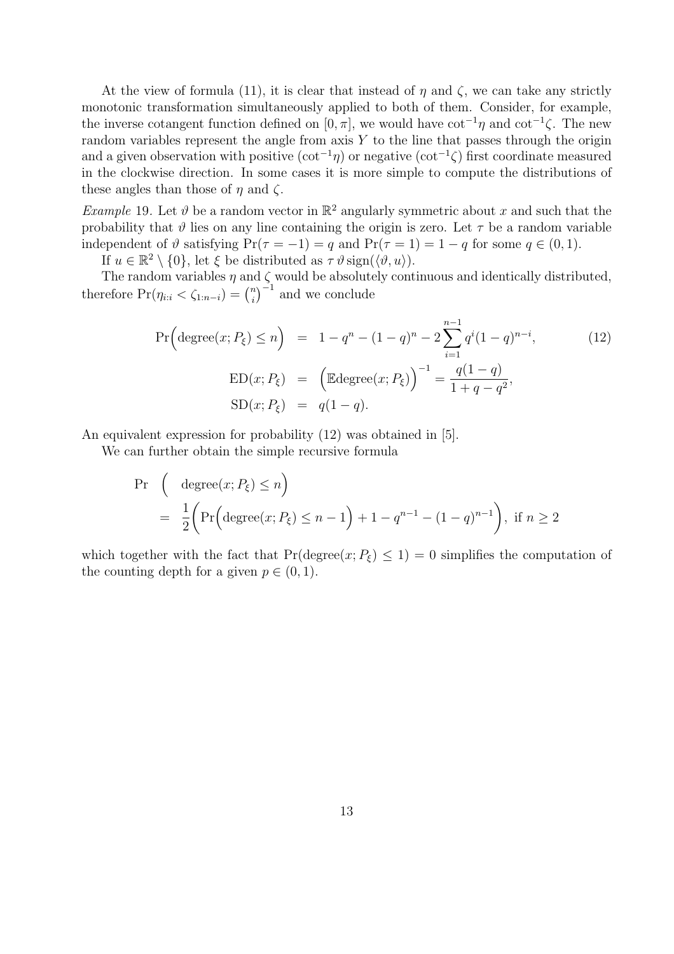At the view of formula (11), it is clear that instead of  $\eta$  and  $\zeta$ , we can take any strictly monotonic transformation simultaneously applied to both of them. Consider, for example, the inverse cotangent function defined on [0,  $\pi$ ], we would have cot<sup>-1</sup> $\eta$  and cot<sup>-1</sup> $\zeta$ . The new random variables represent the angle from axis  $Y$  to the line that passes through the origin and a given observation with positive  $(\cot^{-1}\eta)$  or negative  $(\cot^{-1}\zeta)$  first coordinate measured in the clockwise direction. In some cases it is more simple to compute the distributions of these angles than those of  $\eta$  and  $\zeta$ .

*Example* 19. Let  $\vartheta$  be a random vector in  $\mathbb{R}^2$  angularly symmetric about x and such that the probability that  $\vartheta$  lies on any line containing the origin is zero. Let  $\tau$  be a random variable independent of  $\vartheta$  satisfying  $Pr(\tau = -1) = q$  and  $Pr(\tau = 1) = 1 - q$  for some  $q \in (0, 1)$ .

If  $u \in \mathbb{R}^2 \setminus \{0\}$ , let  $\xi$  be distributed as  $\tau \vartheta \operatorname{sign}(\langle \vartheta, u \rangle)$ .

The random variables  $\eta$  and  $\zeta$  would be absolutely continuous and identically distributed, The random variables  $\eta$  and<br>therefore  $Pr(\eta_{i:i} < \zeta_{1:n-i}) = \binom{n}{i}$ i  $\int_0^1$  and we conclude

$$
\Pr\left(\text{degree}(x; P_{\xi}) \le n\right) = 1 - q^{n} - (1 - q)^{n} - 2\sum_{i=1}^{n-1} q^{i} (1 - q)^{n-i},
$$
\n
$$
\text{ED}(x; P_{\xi}) = \left(\text{Edgefree}(x; P_{\xi})\right)^{-1} = \frac{q(1 - q)}{1 + q - q^{2}},
$$
\n
$$
\text{SD}(x; P_{\xi}) = q(1 - q).
$$
\n(12)

An equivalent expression for probability (12) was obtained in [5].

We can further obtain the simple recursive formula

$$
\begin{aligned} \Pr \quad & \left( \quad \text{degree}(x; P_{\xi}) \le n \right) \\ &= \quad \frac{1}{2} \bigg( \Pr \Big( \text{degree}(x; P_{\xi}) \le n - 1 \Big) + 1 - q^{n-1} - (1 - q)^{n-1} \bigg), \text{ if } n \ge 2 \end{aligned}
$$

which together with the fact that  $Pr(\text{degree}(x; P_{\xi}) \leq 1) = 0$  simplifies the computation of the counting depth for a given  $p \in (0, 1)$ .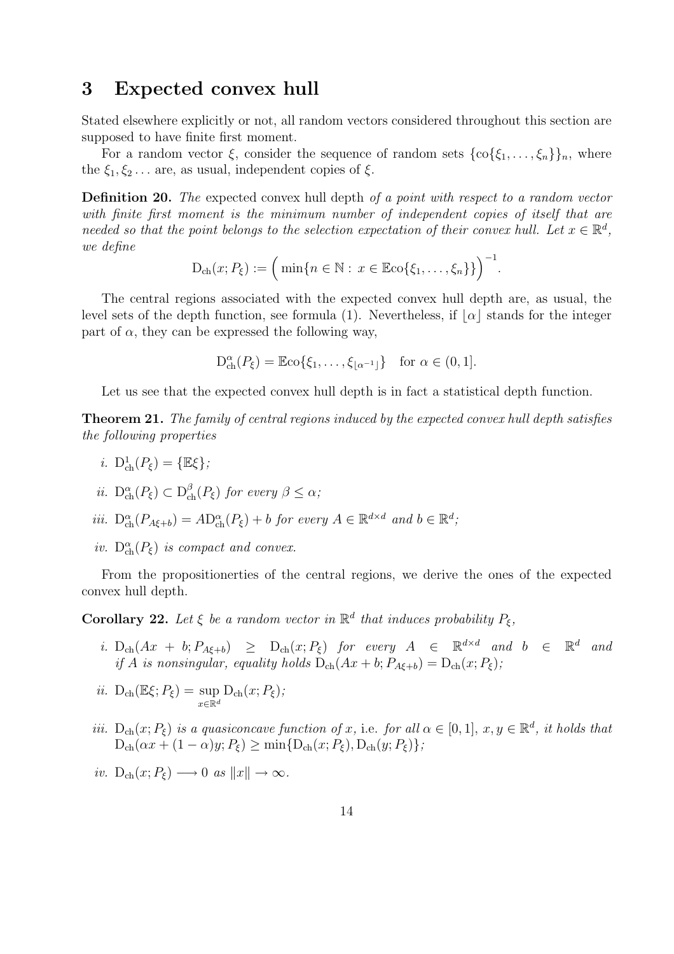### 3 Expected convex hull

Stated elsewhere explicitly or not, all random vectors considered throughout this section are supposed to have finite first moment.

For a random vector  $\xi$ , consider the sequence of random sets  $\{\text{co}\{\xi_1,\ldots,\xi_n\}\}_n$ , where the  $\xi_1, \xi_2, \ldots$  are, as usual, independent copies of  $\xi$ .

Definition 20. The expected convex hull depth of a point with respect to a random vector with finite first moment is the minimum number of independent copies of itself that are needed so that the point belongs to the selection expectation of their convex hull. Let  $x \in \mathbb{R}^d$ , we define

$$
D_{\text{ch}}(x; P_{\xi}) := \Big(\min\{n \in \mathbb{N} : x \in \mathbb{E} \text{co}\{\xi_1, \ldots, \xi_n\}\}\Big)^{-1}.
$$

The central regions associated with the expected convex hull depth are, as usual, the level sets of the depth function, see formula (1). Nevertheless, if  $|\alpha|$  stands for the integer part of  $\alpha$ , they can be expressed the following way,

$$
D_{\text{ch}}^{\alpha}(P_{\xi}) = \mathbb{E}\text{co}\{\xi_1,\ldots,\xi_{\lfloor\alpha^{-1}\rfloor}\} \text{ for } \alpha \in (0,1].
$$

Let us see that the expected convex hull depth is in fact a statistical depth function.

Theorem 21. The family of central regions induced by the expected convex hull depth satisfies the following properties

- *i*.  $D_{\text{ch}}^1(P_{\xi}) = {\mathbb{E}\xi}$ ;
- *ii.*  $D_{ch}^{\alpha}(P_{\xi}) \subset D_{ch}^{\beta}(P_{\xi})$  for every  $\beta \leq \alpha$ ;
- iii.  $D_{ch}^{\alpha}(P_{A\xi+b}) = AD_{ch}^{\alpha}(P_{\xi}) + b$  for every  $A \in \mathbb{R}^{d \times d}$  and  $b \in \mathbb{R}^{d}$ ;
- iv.  $D_{ch}^{\alpha}(P_{\xi})$  is compact and convex.

From the propositionerties of the central regions, we derive the ones of the expected convex hull depth.

**Corollary 22.** Let  $\xi$  be a random vector in  $\mathbb{R}^d$  that induces probability  $P_{\xi}$ ,

i.  $D_{ch}(Ax + b; P_{A\xi+b}) \geq D_{ch}(x; P_{\xi})$  for every  $A \in \mathbb{R}^{d \times d}$  and  $b \in \mathbb{R}$ <sup>d</sup> and if A is nonsingular, equality holds  $D_{ch}(Ax + b; P_{A\xi+b}) = D_{ch}(x; P_{\xi});$ 

$$
ii. \ D_{\text{ch}}(\mathbb{E}\xi; P_{\xi}) = \sup_{x \in \mathbb{R}^d} D_{\text{ch}}(x; P_{\xi});
$$

- iii.  $D_{ch}(x; P_{\xi})$  is a quasiconcave function of x, i.e. for all  $\alpha \in [0, 1]$ ,  $x, y \in \mathbb{R}^d$ , it holds that  $D_{ch}(\alpha x + (1 - \alpha)y; P_{\xi}) \ge \min\{D_{ch}(x; P_{\xi}), D_{ch}(y; P_{\xi})\};$
- iv.  $D_{ch}(x; P_{\xi}) \longrightarrow 0$  as  $||x|| \rightarrow \infty$ .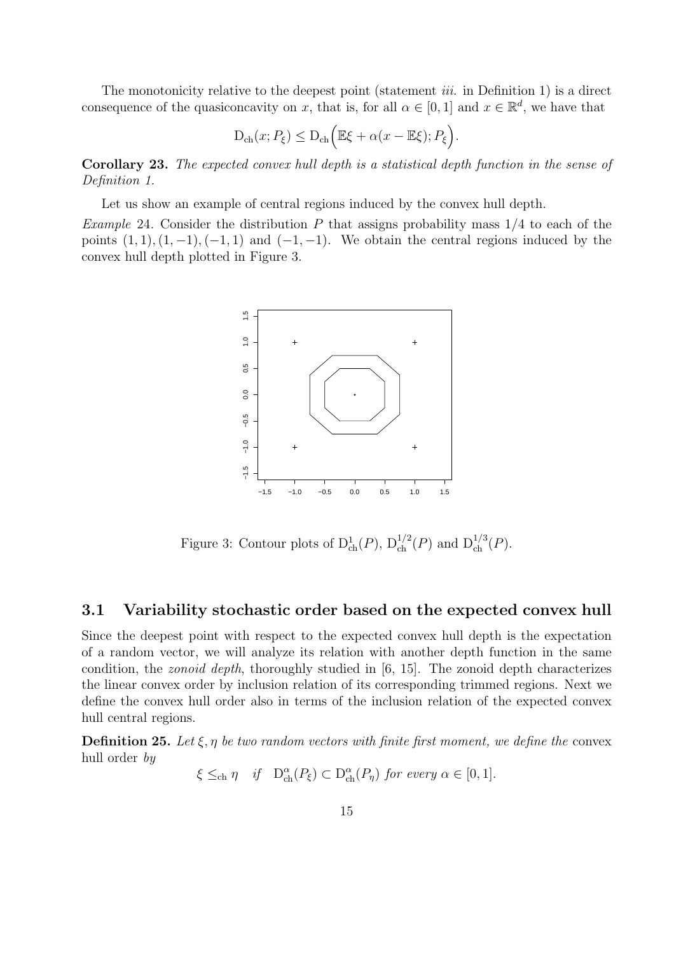The monotonicity relative to the deepest point (statement  $iii.$  in Definition 1) is a direct consequence of the quasiconcavity on x, that is, for all  $\alpha \in [0,1]$  and  $x \in \mathbb{R}^d$ , we have that

$$
D_{\text{ch}}(x; P_{\xi}) \leq D_{\text{ch}}\Big(\mathbb{E}\xi + \alpha(x - \mathbb{E}\xi); P_{\xi}\Big).
$$

Corollary 23. The expected convex hull depth is a statistical depth function in the sense of Definition 1.

Let us show an example of central regions induced by the convex hull depth.

*Example* 24. Consider the distribution P that assigns probability mass  $1/4$  to each of the points  $(1, 1), (1, -1), (-1, 1)$  and  $(-1, -1)$ . We obtain the central regions induced by the convex hull depth plotted in Figure 3.



Figure 3: Contour plots of  $D^1_{ch}(P)$ ,  $D^{1/2}_{ch}(P)$  and  $D^{1/3}_{ch}(P)$ .

### 3.1 Variability stochastic order based on the expected convex hull

Since the deepest point with respect to the expected convex hull depth is the expectation of a random vector, we will analyze its relation with another depth function in the same condition, the *zonoid depth*, thoroughly studied in  $[6, 15]$ . The zonoid depth characterizes the linear convex order by inclusion relation of its corresponding trimmed regions. Next we define the convex hull order also in terms of the inclusion relation of the expected convex hull central regions.

**Definition 25.** Let  $\xi, \eta$  be two random vectors with finite first moment, we define the convex hull order by

$$
\xi \leq_{\text{ch}} \eta \quad \text{if} \quad D_{\text{ch}}^{\alpha}(P_{\xi}) \subset D_{\text{ch}}^{\alpha}(P_{\eta}) \text{ for every } \alpha \in [0,1].
$$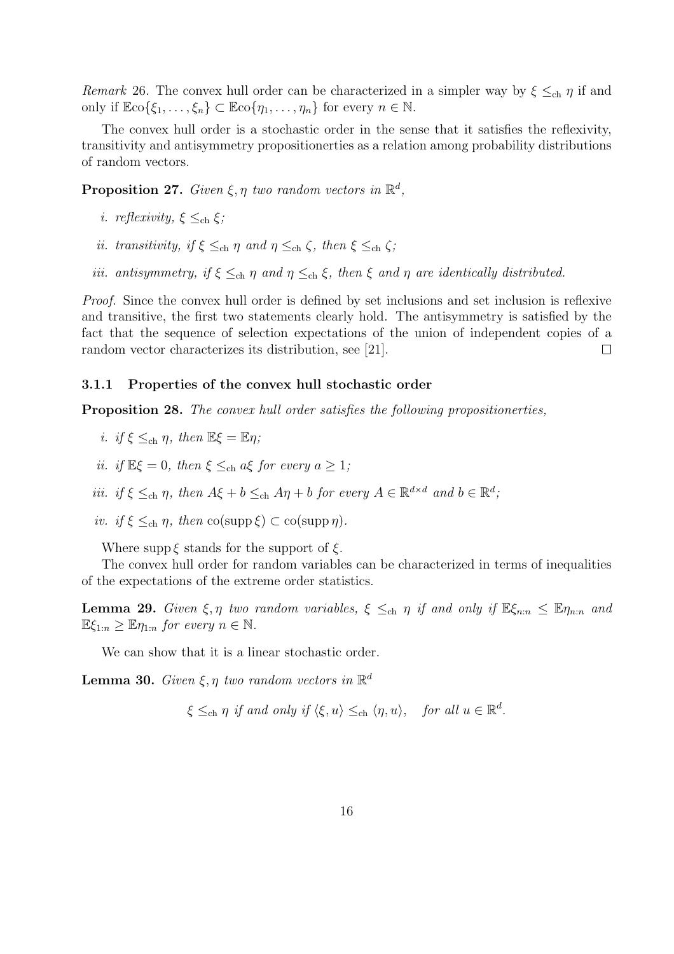Remark 26. The convex hull order can be characterized in a simpler way by  $\xi \leq_{ch} \eta$  if and only if  $\mathbb{E}(\xi_1,\ldots,\xi_n)\subset \mathbb{E}(\eta_1,\ldots,\eta_n)$  for every  $n\in\mathbb{N}$ .

The convex hull order is a stochastic order in the sense that it satisfies the reflexivity, transitivity and antisymmetry propositionerties as a relation among probability distributions of random vectors.

**Proposition 27.** Given  $\xi, \eta$  two random vectors in  $\mathbb{R}^d$ ,

- i. reflexivity,  $\xi \leq_{ch} \xi$ ;
- ii. transitivity, if  $\xi \leq_{ch} \eta$  and  $\eta \leq_{ch} \zeta$ , then  $\xi \leq_{ch} \zeta$ ;
- iii. antisymmetry, if  $\xi \leq_{ch} \eta$  and  $\eta \leq_{ch} \xi$ , then  $\xi$  and  $\eta$  are identically distributed.

*Proof.* Since the convex hull order is defined by set inclusions and set inclusion is reflexive and transitive, the first two statements clearly hold. The antisymmetry is satisfied by the fact that the sequence of selection expectations of the union of independent copies of a random vector characterizes its distribution, see [21].  $\Box$ 

#### 3.1.1 Properties of the convex hull stochastic order

Proposition 28. The convex hull order satisfies the following propositionerties,

- i. if  $\xi \leq_{\text{ch}} \eta$ , then  $\mathbb{E}\xi = \mathbb{E}\eta$ ;
- ii. if  $\mathbb{E}\xi = 0$ , then  $\xi \leq_{\text{ch}} a\xi$  for every  $a \geq 1$ ;
- iii. if  $\xi \leq_{ch} \eta$ , then  $A\xi + b \leq_{ch} A\eta + b$  for every  $A \in \mathbb{R}^{d \times d}$  and  $b \in \mathbb{R}^d$ ;
- iv. if  $\xi \leq_{\text{ch}} \eta$ , then  $\text{co}(\text{supp }\xi) \subset \text{co}(\text{supp }\eta)$ .

Where supp  $\xi$  stands for the support of  $\xi$ .

The convex hull order for random variables can be characterized in terms of inequalities of the expectations of the extreme order statistics.

**Lemma 29.** Given  $\xi, \eta$  two random variables,  $\xi \leq_{\text{ch}} \eta$  if and only if  $\mathbb{E}\xi_{n:n} \leq \mathbb{E}\eta_{n:n}$  and  $\mathbb{E}\xi_{1:n} > \mathbb{E}\eta_{1:n}$  for every  $n \in \mathbb{N}$ .

We can show that it is a linear stochastic order.

**Lemma 30.** Given  $\xi, \eta$  two random vectors in  $\mathbb{R}^d$ 

$$
\xi \leq_{\text{ch}} \eta \text{ if and only if } \langle \xi, u \rangle \leq_{\text{ch}} \langle \eta, u \rangle, \quad \text{for all } u \in \mathbb{R}^d.
$$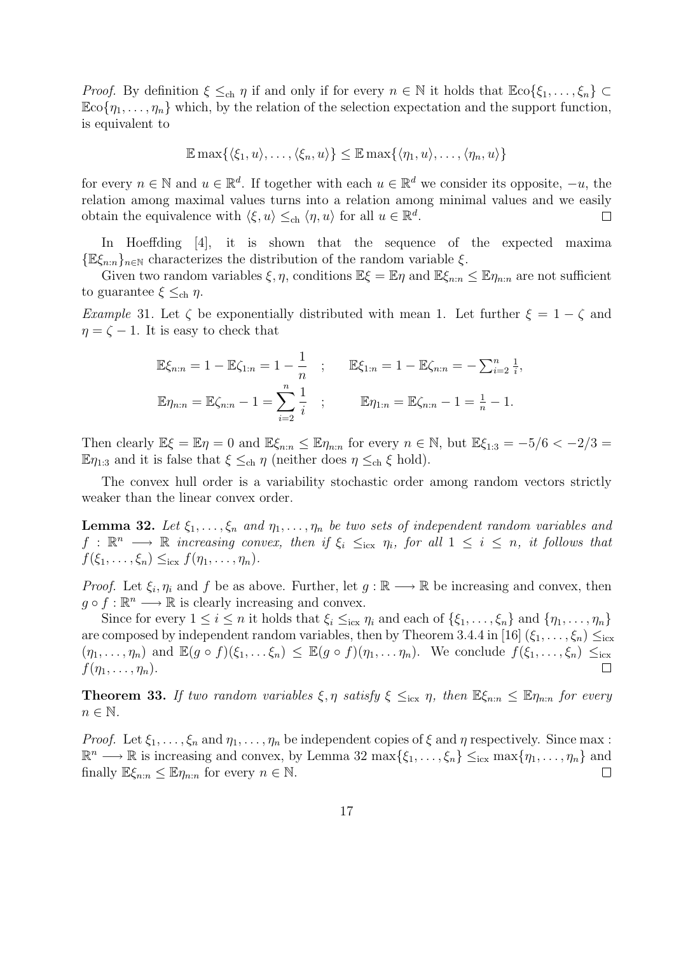*Proof.* By definition  $\xi \leq_{ch} \eta$  if and only if for every  $n \in \mathbb{N}$  it holds that  $\mathbb{E}(\xi_1, \ldots, \xi_n) \subset$  $\mathbb{E}(\alpha[\eta_1,\ldots,\eta_n])$  which, by the relation of the selection expectation and the support function, is equivalent to

$$
\mathbb{E} \max \{ \langle \xi_1, u \rangle, \dots, \langle \xi_n, u \rangle \} \leq \mathbb{E} \max \{ \langle \eta_1, u \rangle, \dots, \langle \eta_n, u \rangle \}
$$

for every  $n \in \mathbb{N}$  and  $u \in \mathbb{R}^d$ . If together with each  $u \in \mathbb{R}^d$  we consider its opposite,  $-u$ , the relation among maximal values turns into a relation among minimal values and we easily obtain the equivalence with  $\langle \xi, u \rangle \leq_{\text{ch}} \langle \eta, u \rangle$  for all  $u \in \mathbb{R}^d$ .  $\Box$ 

In Hoeffding [4], it is shown that the sequence of the expected maxima  $\{\mathbb{E}\xi_{n:n}\}_{n\in\mathbb{N}}$  characterizes the distribution of the random variable  $\xi$ .

Given two random variables  $\xi, \eta$ , conditions  $\mathbb{E}\xi = \mathbb{E}\eta$  and  $\mathbb{E}\xi_{n:n} \leq \mathbb{E}\eta_{n:n}$  are not sufficient to guarantee  $\xi \leq_{ch} \eta$ .

Example 31. Let  $\zeta$  be exponentially distributed with mean 1. Let further  $\xi = 1 - \zeta$  and  $\eta = \zeta - 1$ . It is easy to check that

$$
\mathbb{E}\xi_{n:n} = 1 - \mathbb{E}\zeta_{1:n} = 1 - \frac{1}{n} \quad ; \qquad \mathbb{E}\xi_{1:n} = 1 - \mathbb{E}\zeta_{n:n} = -\sum_{i=2}^{n} \frac{1}{i},
$$
  

$$
\mathbb{E}\eta_{n:n} = \mathbb{E}\zeta_{n:n} - 1 = \sum_{i=2}^{n} \frac{1}{i} \quad ; \qquad \mathbb{E}\eta_{1:n} = \mathbb{E}\zeta_{n:n} - 1 = \frac{1}{n} - 1.
$$

Then clearly  $\mathbb{E}\xi = \mathbb{E}\eta = 0$  and  $\mathbb{E}\xi_{n:n} \leq \mathbb{E}\eta_{n:n}$  for every  $n \in \mathbb{N}$ , but  $\mathbb{E}\xi_{1:3} = -5/6 < -2/3 =$  $\mathbb{E} \eta_{1:3}$  and it is false that  $\xi \leq_{ch} \eta$  (neither does  $\eta \leq_{ch} \xi$  hold).

The convex hull order is a variability stochastic order among random vectors strictly weaker than the linear convex order.

**Lemma 32.** Let  $\xi_1, \ldots, \xi_n$  and  $\eta_1, \ldots, \eta_n$  be two sets of independent random variables and  $f: \mathbb{R}^n \longrightarrow \mathbb{R}$  increasing convex, then if  $\xi_i \leq_{\text{icx}} \eta_i$ , for all  $1 \leq i \leq n$ , it follows that  $f(\xi_1,\ldots,\xi_n)\leq_{\text{icx}} f(\eta_1,\ldots,\eta_n).$ 

*Proof.* Let  $\xi_i, \eta_i$  and f be as above. Further, let  $g : \mathbb{R} \longrightarrow \mathbb{R}$  be increasing and convex, then  $g \circ f : \mathbb{R}^n \longrightarrow \mathbb{R}$  is clearly increasing and convex.

Since for every  $1 \leq i \leq n$  it holds that  $\xi_i \leq_{i} \xi_i$  and each of  $\{\xi_1, \ldots, \xi_n\}$  and  $\{\eta_1, \ldots, \eta_n\}$ are composed by independent random variables, then by Theorem 3.4.4 in [16]  $(\xi_1, \ldots, \xi_n) \leq_{icx}$  $(\eta_1,\ldots,\eta_n)$  and  $\mathbb{E}(g\circ f)(\xi_1,\ldots\xi_n)\leq \mathbb{E}(g\circ f)(\eta_1,\ldots\eta_n)$ . We conclude  $f(\xi_1,\ldots,\xi_n)\leq_{\text{icx}}$  $f(\eta_1,\ldots,\eta_n).$  $\Box$ 

**Theorem 33.** If two random variables  $\xi, \eta$  satisfy  $\xi \leq_{icx} \eta$ , then  $\mathbb{E}\xi_{n:n} \leq \mathbb{E}\eta_{n:n}$  for every  $n \in \mathbb{N}$ .

*Proof.* Let  $\xi_1, \ldots, \xi_n$  and  $\eta_1, \ldots, \eta_n$  be independent copies of  $\xi$  and  $\eta$  respectively. Since max :  $\mathbb{R}^n \longrightarrow \mathbb{R}$  is increasing and convex, by Lemma 32 max $\{\xi_1,\ldots,\xi_n\} \leq_{\text{icx}} \max\{\eta_1,\ldots,\eta_n\}$  and finally  $\mathbb{E}\xi_{n:n} \leq \mathbb{E}\eta_{n:n}$  for every  $n \in \mathbb{N}$ .  $\Box$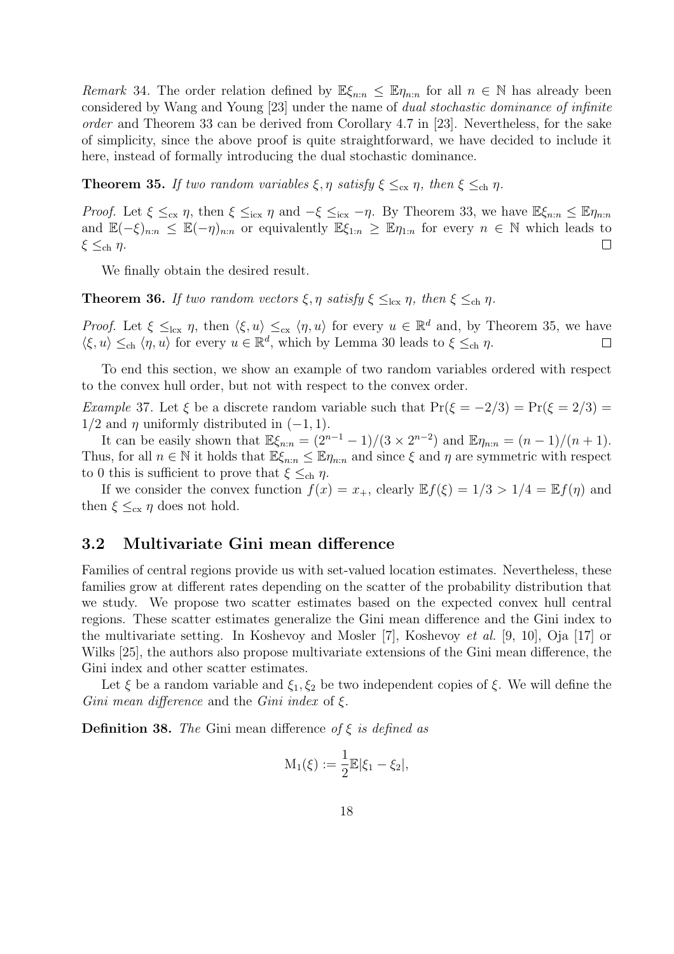Remark 34. The order relation defined by  $\mathbb{E}\xi_{n:n} \leq \mathbb{E}\eta_{n:n}$  for all  $n \in \mathbb{N}$  has already been considered by Wang and Young [23] under the name of dual stochastic dominance of infinite order and Theorem 33 can be derived from Corollary 4.7 in [23]. Nevertheless, for the sake of simplicity, since the above proof is quite straightforward, we have decided to include it here, instead of formally introducing the dual stochastic dominance.

**Theorem 35.** If two random variables  $\xi, \eta$  satisfy  $\xi \leq_{\text{cx}} \eta$ , then  $\xi \leq_{\text{ch}} \eta$ .

*Proof.* Let  $\xi \leq_{cx} \eta$ , then  $\xi \leq_{icx} \eta$  and  $-\xi \leq_{icx} -\eta$ . By Theorem 33, we have  $\mathbb{E}\xi_{n:n} \leq \mathbb{E}\eta_{n:n}$ and  $\mathbb{E}(-\xi)_{n:n} \leq \mathbb{E}(-\eta)_{n:n}$  or equivalently  $\mathbb{E}\xi_{1:n} \geq \mathbb{E}\eta_{1:n}$  for every  $n \in \mathbb{N}$  which leads to ξ  $\leq_{\text{ch}}$  η.  $\Box$ 

We finally obtain the desired result.

**Theorem 36.** If two random vectors  $\xi, \eta$  satisfy  $\xi \leq_{\text{lcx}} \eta$ , then  $\xi \leq_{\text{ch}} \eta$ .

*Proof.* Let  $\xi \leq_{\text{lcx}} \eta$ , then  $\langle \xi, u \rangle \leq_{\text{c}x} \langle \eta, u \rangle$  for every  $u \in \mathbb{R}^d$  and, by Theorem 35, we have  $\langle \xi, u \rangle \leq_{\text{ch}} \langle \eta, u \rangle$  for every  $u \in \mathbb{R}^d$ , which by Lemma 30 leads to  $\xi \leq_{\text{ch}} \eta$ .  $\Box$ 

To end this section, we show an example of two random variables ordered with respect to the convex hull order, but not with respect to the convex order.

Example 37. Let  $\xi$  be a discrete random variable such that  $Pr(\xi = -2/3) = Pr(\xi = 2/3) =$  $1/2$  and  $\eta$  uniformly distributed in  $(-1, 1)$ .

It can be easily shown that  $\mathbb{E}\xi_{n:n} = (2^{n-1}-1)/(3 \times 2^{n-2})$  and  $\mathbb{E}\eta_{n:n} = (n-1)/(n+1)$ . Thus, for all  $n \in \mathbb{N}$  it holds that  $\mathbb{E}\xi_{n:n} \leq \mathbb{E}\eta_{n:n}$  and since  $\xi$  and  $\eta$  are symmetric with respect to 0 this is sufficient to prove that  $\xi \leq_{ch} \eta$ .

If we consider the convex function  $f(x) = x_+$ , clearly  $\mathbb{E} f(\xi) = 1/3 > 1/4 = \mathbb{E} f(\eta)$  and then  $\xi \leq_{\text{cx}} \eta$  does not hold.

### 3.2 Multivariate Gini mean difference

Families of central regions provide us with set-valued location estimates. Nevertheless, these families grow at different rates depending on the scatter of the probability distribution that we study. We propose two scatter estimates based on the expected convex hull central regions. These scatter estimates generalize the Gini mean difference and the Gini index to the multivariate setting. In Koshevoy and Mosler [7], Koshevoy et al. [9, 10], Oja [17] or Wilks [25], the authors also propose multivariate extensions of the Gini mean difference, the Gini index and other scatter estimates.

Let  $\xi$  be a random variable and  $\xi_1, \xi_2$  be two independent copies of  $\xi$ . We will define the Gini mean difference and the Gini index of  $\xi$ .

**Definition 38.** The Gini mean difference of  $\xi$  is defined as

$$
M_1(\xi):=\frac{1}{2}\mathbb{E}|\xi_1-\xi_2|,
$$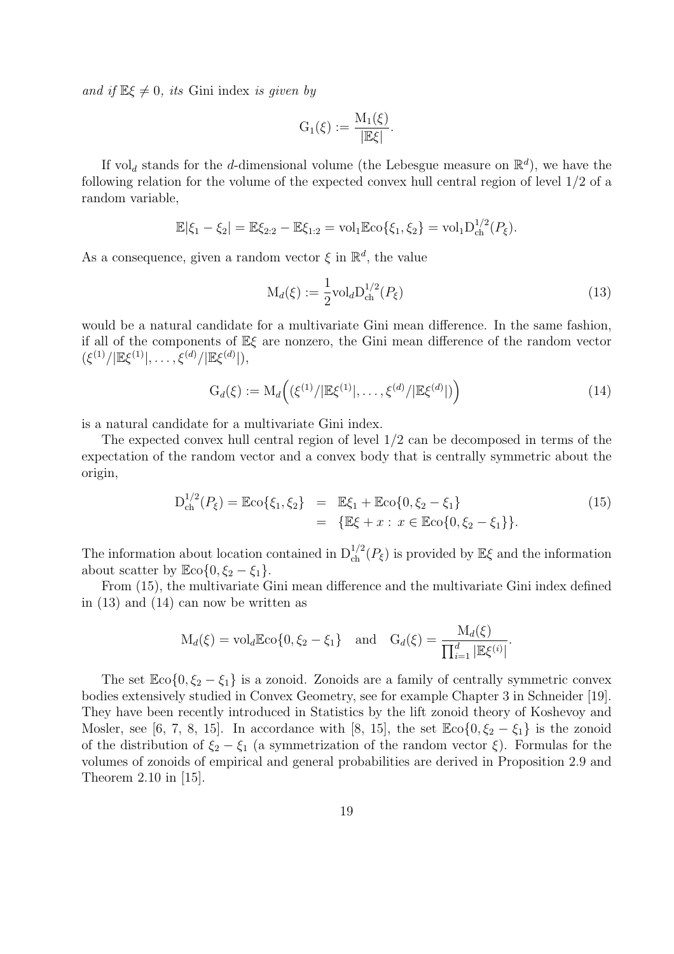and if  $\mathbb{E}\xi \neq 0$ , its Gini index is given by

$$
G_1(\xi) := \frac{M_1(\xi)}{|\mathbb{E}\xi|}.
$$

If vol<sub>d</sub> stands for the *d*-dimensional volume (the Lebesgue measure on  $\mathbb{R}^d$ ), we have the following relation for the volume of the expected convex hull central region of level 1/2 of a random variable,

$$
\mathbb{E}|\xi_1 - \xi_2| = \mathbb{E}\xi_{2:2} - \mathbb{E}\xi_{1:2} = \mathrm{vol}_1 \mathbb{E} \mathrm{co}\{\xi_1, \xi_2\} = \mathrm{vol}_1 \mathrm{D}_{\mathrm{ch}}^{1/2}(P_{\xi}).
$$

As a consequence, given a random vector  $\xi$  in  $\mathbb{R}^d$ , the value

$$
\mathcal{M}_d(\xi) := \frac{1}{2} \text{vol}_d \mathcal{D}_{\text{ch}}^{1/2}(P_\xi)
$$
\n(13)

would be a natural candidate for a multivariate Gini mean difference. In the same fashion, if all of the components of Eξ are nonzero, the Gini mean difference of the random vector  $(\xi^{(1)}/|\mathbb{E}\xi^{(1)}|,\ldots,\xi^{(d)}/|\mathbb{E}\xi^{(d)}|),$ 

$$
G_d(\xi) := M_d\Big( (\xi^{(1)} / |\mathbb{E}\xi^{(1)}|, \dots, \xi^{(d)} / |\mathbb{E}\xi^{(d)}|) \Big) \tag{14}
$$

is a natural candidate for a multivariate Gini index.

The expected convex hull central region of level 1/2 can be decomposed in terms of the expectation of the random vector and a convex body that is centrally symmetric about the origin,

$$
D_{ch}^{1/2}(P_{\xi}) = \mathbb{E} \{ \xi_1, \xi_2 \} = \mathbb{E} \xi_1 + \mathbb{E} \{ \xi_2 - \xi_1 \} \\
= \{ \mathbb{E} \xi + x : x \in \mathbb{E} \{ \xi_2 - \xi_1 \} \}.
$$
\n(15)

The information about location contained in  $D_{ch}^{1/2}(P_{\xi})$  is provided by  $\mathbb{E}{\xi}$  and the information about scatter by  $\mathbb{E} \text{co}\{0, \xi_2 - \xi_1\}.$ 

From (15), the multivariate Gini mean difference and the multivariate Gini index defined in (13) and (14) can now be written as

$$
M_d(\xi) = \text{vol}_d \mathbb{E} \text{co}\{0, \xi_2 - \xi_1\}
$$
 and  $G_d(\xi) = \frac{M_d(\xi)}{\prod_{i=1}^d |\mathbb{E}\xi^{(i)}|}.$ 

The set  $\mathbb{E}(\cos{0}, \xi_2 - \xi_1)$  is a zonoid. Zonoids are a family of centrally symmetric convex bodies extensively studied in Convex Geometry, see for example Chapter 3 in Schneider [19]. They have been recently introduced in Statistics by the lift zonoid theory of Koshevoy and Mosler, see [6, 7, 8, 15]. In accordance with [8, 15], the set  $\mathbb{E}(\infty) \{0, \xi_2 - \xi_1\}$  is the zonoid of the distribution of  $\xi_2 - \xi_1$  (a symmetrization of the random vector  $\xi$ ). Formulas for the volumes of zonoids of empirical and general probabilities are derived in Proposition 2.9 and Theorem 2.10 in [15].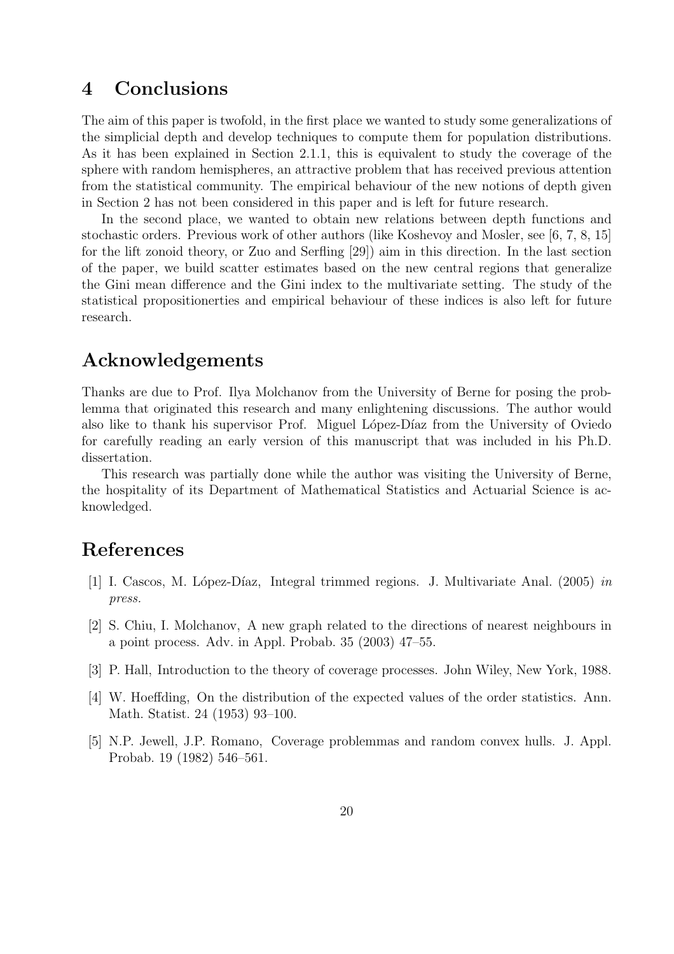## 4 Conclusions

The aim of this paper is twofold, in the first place we wanted to study some generalizations of the simplicial depth and develop techniques to compute them for population distributions. As it has been explained in Section 2.1.1, this is equivalent to study the coverage of the sphere with random hemispheres, an attractive problem that has received previous attention from the statistical community. The empirical behaviour of the new notions of depth given in Section 2 has not been considered in this paper and is left for future research.

In the second place, we wanted to obtain new relations between depth functions and stochastic orders. Previous work of other authors (like Koshevoy and Mosler, see [6, 7, 8, 15] for the lift zonoid theory, or Zuo and Serfling [29]) aim in this direction. In the last section of the paper, we build scatter estimates based on the new central regions that generalize the Gini mean difference and the Gini index to the multivariate setting. The study of the statistical propositionerties and empirical behaviour of these indices is also left for future research.

### Acknowledgements

Thanks are due to Prof. Ilya Molchanov from the University of Berne for posing the problemma that originated this research and many enlightening discussions. The author would also like to thank his supervisor Prof. Miguel López-Díaz from the University of Oviedo for carefully reading an early version of this manuscript that was included in his Ph.D. dissertation.

This research was partially done while the author was visiting the University of Berne, the hospitality of its Department of Mathematical Statistics and Actuarial Science is acknowledged.

## References

- [1] I. Cascos, M. López-Díaz, Integral trimmed regions. J. Multivariate Anal. (2005) in press.
- [2] S. Chiu, I. Molchanov, A new graph related to the directions of nearest neighbours in a point process. Adv. in Appl. Probab. 35 (2003) 47–55.
- [3] P. Hall, Introduction to the theory of coverage processes. John Wiley, New York, 1988.
- [4] W. Hoeffding, On the distribution of the expected values of the order statistics. Ann. Math. Statist. 24 (1953) 93–100.
- [5] N.P. Jewell, J.P. Romano, Coverage problemmas and random convex hulls. J. Appl. Probab. 19 (1982) 546–561.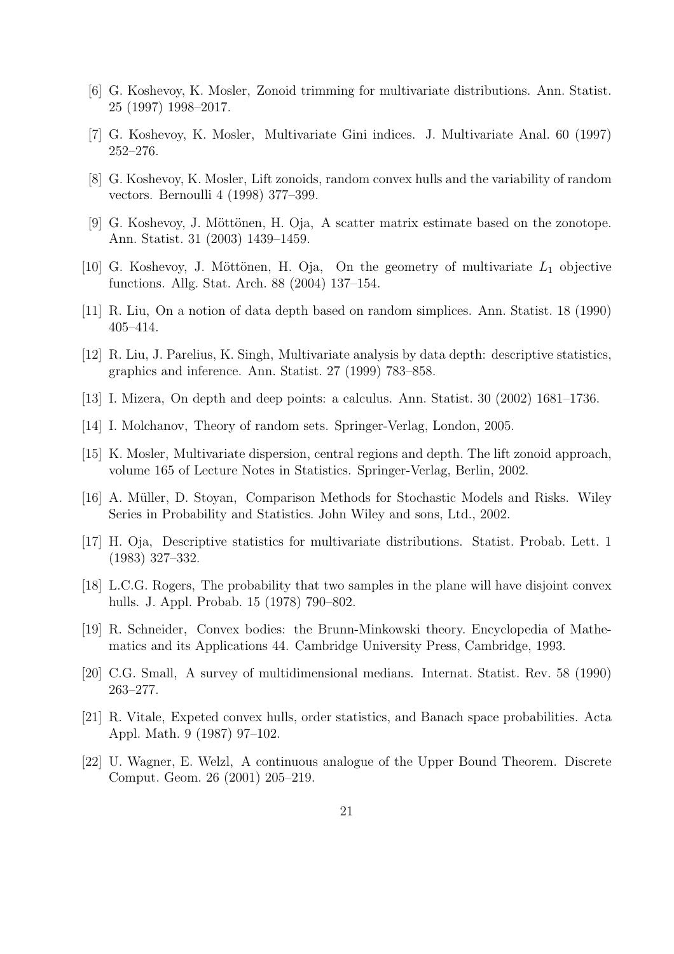- [6] G. Koshevoy, K. Mosler, Zonoid trimming for multivariate distributions. Ann. Statist. 25 (1997) 1998–2017.
- [7] G. Koshevoy, K. Mosler, Multivariate Gini indices. J. Multivariate Anal. 60 (1997) 252–276.
- [8] G. Koshevoy, K. Mosler, Lift zonoids, random convex hulls and the variability of random vectors. Bernoulli 4 (1998) 377–399.
- [9] G. Koshevoy, J. Möttönen, H. Oja, A scatter matrix estimate based on the zonotope. Ann. Statist. 31 (2003) 1439–1459.
- [10] G. Koshevoy, J. Möttönen, H. Oja, On the geometry of multivariate  $L_1$  objective functions. Allg. Stat. Arch. 88 (2004) 137–154.
- [11] R. Liu, On a notion of data depth based on random simplices. Ann. Statist. 18 (1990) 405–414.
- [12] R. Liu, J. Parelius, K. Singh, Multivariate analysis by data depth: descriptive statistics, graphics and inference. Ann. Statist. 27 (1999) 783–858.
- [13] I. Mizera, On depth and deep points: a calculus. Ann. Statist. 30 (2002) 1681–1736.
- [14] I. Molchanov, Theory of random sets. Springer-Verlag, London, 2005.
- [15] K. Mosler, Multivariate dispersion, central regions and depth. The lift zonoid approach, volume 165 of Lecture Notes in Statistics. Springer-Verlag, Berlin, 2002.
- [16] A. Müller, D. Stoyan, Comparison Methods for Stochastic Models and Risks. Wiley Series in Probability and Statistics. John Wiley and sons, Ltd., 2002.
- [17] H. Oja, Descriptive statistics for multivariate distributions. Statist. Probab. Lett. 1 (1983) 327–332.
- [18] L.C.G. Rogers, The probability that two samples in the plane will have disjoint convex hulls. J. Appl. Probab. 15 (1978) 790–802.
- [19] R. Schneider, Convex bodies: the Brunn-Minkowski theory. Encyclopedia of Mathematics and its Applications 44. Cambridge University Press, Cambridge, 1993.
- [20] C.G. Small, A survey of multidimensional medians. Internat. Statist. Rev. 58 (1990) 263–277.
- [21] R. Vitale, Expeted convex hulls, order statistics, and Banach space probabilities. Acta Appl. Math. 9 (1987) 97–102.
- [22] U. Wagner, E. Welzl, A continuous analogue of the Upper Bound Theorem. Discrete Comput. Geom. 26 (2001) 205–219.